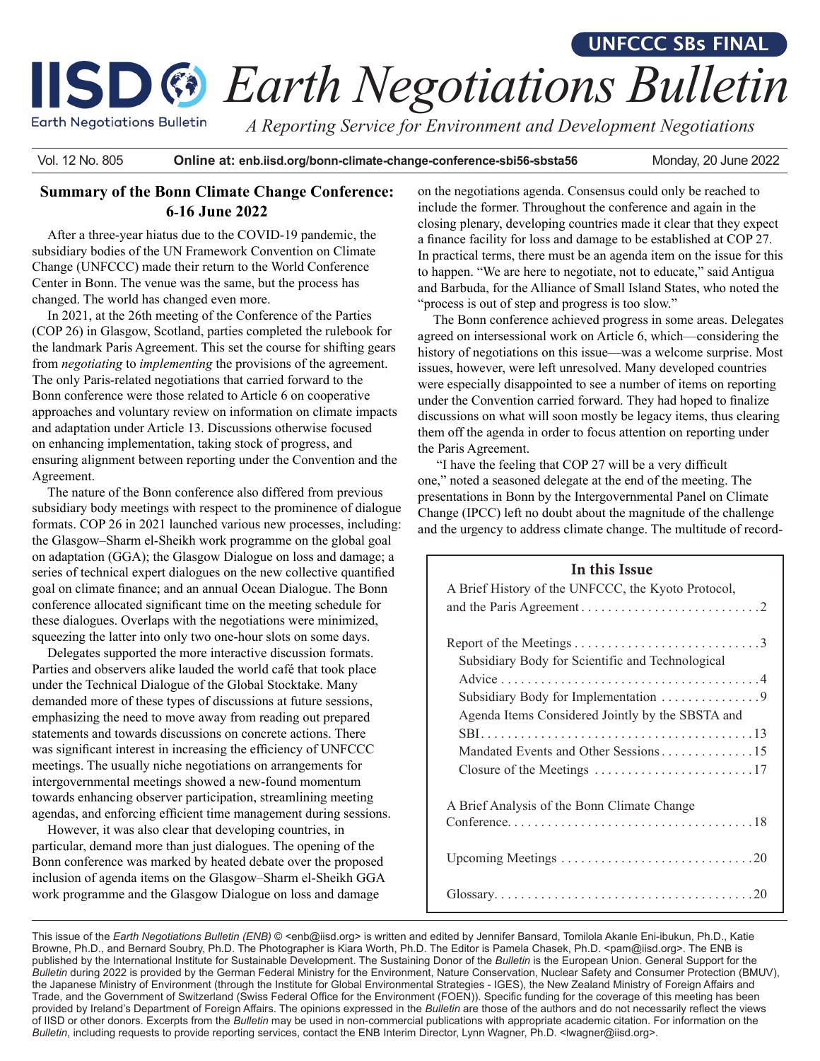# **UNFCCC SBs FINAL**

# **ISD & Earth Negotiations Bulletin**

**Earth Negotiations Bulletin** 

*A Reporting Service for Environment and Development Negotiations*

Vol. 12 No. 805 **Online at: [enb.iisd.org/bonn-climate-change-conference-sbi56-sbsta56](https://enb.iisd.org/bonn-climate-change-conference-sbi56-sbsta56)** Monday, 20 June 2022

# **Summary of the Bonn Climate Change Conference: 6***-***16 June 2022**

After a three-year hiatus due to the COVID-19 pandemic, the subsidiary bodies of the UN Framework Convention on Climate Change (UNFCCC) made their return to the World Conference Center in Bonn. The venue was the same, but the process has changed. The world has changed even more.

In 2021, at the 26th meeting of the Conference of the Parties (COP 26) in Glasgow, Scotland, parties completed the rulebook for the landmark Paris Agreement. This set the course for shifting gears from *negotiating* to *implementing* the provisions of the agreement. The only Paris-related negotiations that carried forward to the Bonn conference were those related to Article 6 on cooperative approaches and voluntary review on information on climate impacts and adaptation under Article 13. Discussions otherwise focused on enhancing implementation, taking stock of progress, and ensuring alignment between reporting under the Convention and the Agreement.

The nature of the Bonn conference also differed from previous subsidiary body meetings with respect to the prominence of dialogue formats. COP 26 in 2021 launched various new processes, including: the Glasgow–Sharm el-Sheikh work programme on the global goal on adaptation (GGA); the Glasgow Dialogue on loss and damage; a series of technical expert dialogues on the new collective quantified goal on climate finance; and an annual Ocean Dialogue. The Bonn conference allocated significant time on the meeting schedule for these dialogues. Overlaps with the negotiations were minimized, squeezing the latter into only two one-hour slots on some days.

Delegates supported the more interactive discussion formats. Parties and observers alike lauded the world café that took place under the Technical Dialogue of the Global Stocktake. Many demanded more of these types of discussions at future sessions, emphasizing the need to move away from reading out prepared statements and towards discussions on concrete actions. There was significant interest in increasing the efficiency of UNFCCC meetings. The usually niche negotiations on arrangements for intergovernmental meetings showed a new-found momentum towards enhancing observer participation, streamlining meeting agendas, and enforcing efficient time management during sessions.

However, it was also clear that developing countries, in particular, demand more than just dialogues. The opening of the Bonn conference was marked by heated debate over the proposed inclusion of agenda items on the Glasgow–Sharm el-Sheikh GGA work programme and the Glasgow Dialogue on loss and damage

on the negotiations agenda. Consensus could only be reached to include the former. Throughout the conference and again in the closing plenary, developing countries made it clear that they expect a finance facility for loss and damage to be established at COP 27. In practical terms, there must be an agenda item on the issue for this to happen. "We are here to negotiate, not to educate," said Antigua and Barbuda, for the Alliance of Small Island States, who noted the "process is out of step and progress is too slow."

The Bonn conference achieved progress in some areas. Delegates agreed on intersessional work on Article 6, which—considering the history of negotiations on this issue—was a welcome surprise. Most issues, however, were left unresolved. Many developed countries were especially disappointed to see a number of items on reporting under the Convention carried forward. They had hoped to finalize discussions on what will soon mostly be legacy items, thus clearing them off the agenda in order to focus attention on reporting under the Paris Agreement.

 "I have the feeling that COP 27 will be a very difficult one," noted a seasoned delegate at the end of the meeting. The presentations in Bonn by the Intergovernmental Panel on Climate Change (IPCC) left no doubt about the magnitude of the challenge and the urgency to address climate change. The multitude of record-

## **In this Issue**

| A Brief History of the UNFCCC, the Kyoto Protocol, |  |  |
|----------------------------------------------------|--|--|
|                                                    |  |  |
|                                                    |  |  |
|                                                    |  |  |
| Subsidiary Body for Scientific and Technological   |  |  |
|                                                    |  |  |
| Subsidiary Body for Implementation 9               |  |  |
| Agenda Items Considered Jointly by the SBSTA and   |  |  |
|                                                    |  |  |
| Mandated Events and Other Sessions15               |  |  |
|                                                    |  |  |
|                                                    |  |  |
| A Brief Analysis of the Bonn Climate Change        |  |  |
|                                                    |  |  |
|                                                    |  |  |
|                                                    |  |  |
|                                                    |  |  |
|                                                    |  |  |
|                                                    |  |  |

This issue of the *Earth Negotiations Bulletin (ENB)* © <enb@iisd.org> is written and edited by Jennifer Bansard, Tomilola Akanle Eni-ibukun, Ph.D., Katie Browne, Ph.D., and Bernard Soubry, Ph.D. The Photographer is Kiara Worth, Ph.D. The Editor is Pamela Chasek, Ph.D. <pam@iisd.org>. The ENB is published by the International Institute for Sustainable Development. The Sustaining Donor of the *Bulletin* is the European Union. General Support for the *Bulletin* during 2022 is provided by the German Federal Ministry for the Environment, Nature Conservation, Nuclear Safety and Consumer Protection (BMUV), the Japanese Ministry of Environment (through the Institute for Global Environmental Strategies - IGES), the New Zealand Ministry of Foreign Affairs and Trade, and the Government of Switzerland (Swiss Federal Office for the Environment (FOEN)). Specific funding for the coverage of this meeting has been provided by Ireland's Department of Foreign Affairs. The opinions expressed in the *Bulletin* are those of the authors and do not necessarily reflect the views of IISD or other donors. Excerpts from the *Bulletin* may be used in non-commercial publications with appropriate academic citation. For information on the *Bulletin*, including requests to provide reporting services, contact the ENB Interim Director, Lynn Wagner, Ph.D. <lwagner@iisd.org>.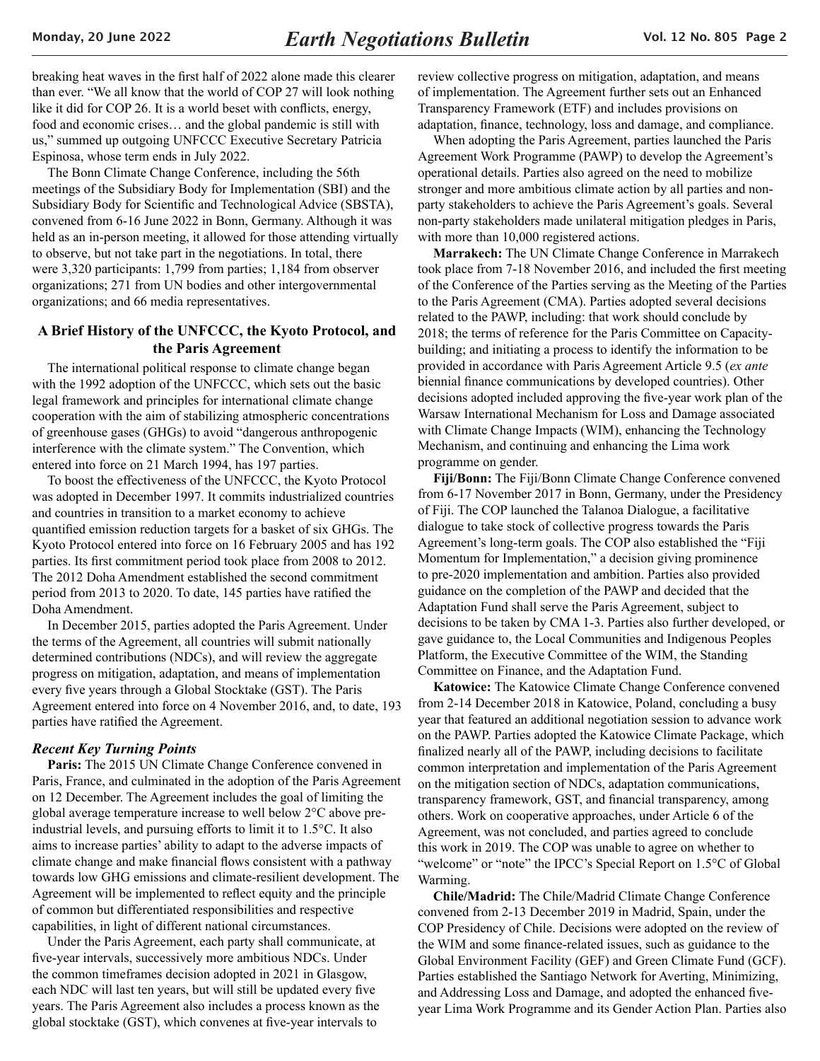<span id="page-1-0"></span>breaking heat waves in the first half of 2022 alone made this clearer than ever. "We all know that the world of COP 27 will look nothing like it did for COP 26. It is a world beset with conflicts, energy, food and economic crises… and the global pandemic is still with us," summed up outgoing UNFCCC Executive Secretary Patricia Espinosa, whose term ends in July 2022.

The Bonn Climate Change Conference, including the 56th meetings of the Subsidiary Body for Implementation (SBI) and the Subsidiary Body for Scientific and Technological Advice (SBSTA), convened from 6-16 June 2022 in Bonn, Germany. Although it was held as an in-person meeting, it allowed for those attending virtually to observe, but not take part in the negotiations. In total, there were 3,320 participants: 1,799 from parties; 1,184 from observer organizations; 271 from UN bodies and other intergovernmental organizations; and 66 media representatives.

## **A Brief History of the UNFCCC, the Kyoto Protocol, and the Paris Agreement**

The international political response to climate change began with the 1992 adoption of the UNFCCC, which sets out the basic legal framework and principles for international climate change cooperation with the aim of stabilizing atmospheric concentrations of greenhouse gases (GHGs) to avoid "dangerous anthropogenic interference with the climate system." The Convention, which entered into force on 21 March 1994, has 197 parties.

To boost the effectiveness of the UNFCCC, the Kyoto Protocol was adopted in December 1997. It commits industrialized countries and countries in transition to a market economy to achieve quantified emission reduction targets for a basket of six GHGs. The Kyoto Protocol entered into force on 16 February 2005 and has 192 parties. Its first commitment period took place from 2008 to 2012. The 2012 Doha Amendment established the second commitment period from 2013 to 2020. To date, 145 parties have ratified the Doha Amendment.

In December 2015, parties adopted the Paris Agreement. Under the terms of the Agreement, all countries will submit nationally determined contributions (NDCs), and will review the aggregate progress on mitigation, adaptation, and means of implementation every five years through a Global Stocktake (GST). The Paris Agreement entered into force on 4 November 2016, and, to date, 193 parties have ratified the Agreement.

#### *Recent Key Turning Points*

**Paris:** The 2015 UN Climate Change Conference convened in Paris, France, and culminated in the adoption of the Paris Agreement on 12 December. The Agreement includes the goal of limiting the global average temperature increase to well below 2°C above preindustrial levels, and pursuing efforts to limit it to 1.5°C. It also aims to increase parties' ability to adapt to the adverse impacts of climate change and make financial flows consistent with a pathway towards low GHG emissions and climate-resilient development. The Agreement will be implemented to reflect equity and the principle of common but differentiated responsibilities and respective capabilities, in light of different national circumstances.

Under the Paris Agreement, each party shall communicate, at five-year intervals, successively more ambitious NDCs. Under the common timeframes decision adopted in 2021 in Glasgow, each NDC will last ten years, but will still be updated every five years. The Paris Agreement also includes a process known as the global stocktake (GST), which convenes at five-year intervals to

review collective progress on mitigation, adaptation, and means of implementation. The Agreement further sets out an Enhanced Transparency Framework (ETF) and includes provisions on adaptation, finance, technology, loss and damage, and compliance.

When adopting the Paris Agreement, parties launched the Paris Agreement Work Programme (PAWP) to develop the Agreement's operational details. Parties also agreed on the need to mobilize stronger and more ambitious climate action by all parties and nonparty stakeholders to achieve the Paris Agreement's goals. Several non-party stakeholders made unilateral mitigation pledges in Paris, with more than 10,000 registered actions.

**Marrakech:** The UN Climate Change Conference in Marrakech took place from 7-18 November 2016, and included the first meeting of the Conference of the Parties serving as the Meeting of the Parties to the Paris Agreement (CMA). Parties adopted several decisions related to the PAWP, including: that work should conclude by 2018; the terms of reference for the Paris Committee on Capacitybuilding; and initiating a process to identify the information to be provided in accordance with Paris Agreement Article 9.5 (*ex ante* biennial finance communications by developed countries). Other decisions adopted included approving the five-year work plan of the Warsaw International Mechanism for Loss and Damage associated with Climate Change Impacts (WIM), enhancing the Technology Mechanism, and continuing and enhancing the Lima work programme on gender.

**Fiji/Bonn:** The Fiji/Bonn Climate Change Conference convened from 6-17 November 2017 in Bonn, Germany, under the Presidency of Fiji. The COP launched the Talanoa Dialogue, a facilitative dialogue to take stock of collective progress towards the Paris Agreement's long-term goals. The COP also established the "Fiji Momentum for Implementation," a decision giving prominence to pre-2020 implementation and ambition. Parties also provided guidance on the completion of the PAWP and decided that the Adaptation Fund shall serve the Paris Agreement, subject to decisions to be taken by CMA 1-3. Parties also further developed, or gave guidance to, the Local Communities and Indigenous Peoples Platform, the Executive Committee of the WIM, the Standing Committee on Finance, and the Adaptation Fund.

**Katowice:** The Katowice Climate Change Conference convened from 2-14 December 2018 in Katowice, Poland, concluding a busy year that featured an additional negotiation session to advance work on the PAWP. Parties adopted the Katowice Climate Package, which finalized nearly all of the PAWP, including decisions to facilitate common interpretation and implementation of the Paris Agreement on the mitigation section of NDCs, adaptation communications, transparency framework, GST, and financial transparency, among others. Work on cooperative approaches, under Article 6 of the Agreement, was not concluded, and parties agreed to conclude this work in 2019. The COP was unable to agree on whether to "welcome" or "note" the IPCC's Special Report on 1.5°C of Global Warming.

**Chile/Madrid:** The Chile/Madrid Climate Change Conference convened from 2-13 December 2019 in Madrid, Spain, under the COP Presidency of Chile. Decisions were adopted on the review of the WIM and some finance-related issues, such as guidance to the Global Environment Facility (GEF) and Green Climate Fund (GCF). Parties established the Santiago Network for Averting, Minimizing, and Addressing Loss and Damage, and adopted the enhanced fiveyear Lima Work Programme and its Gender Action Plan. Parties also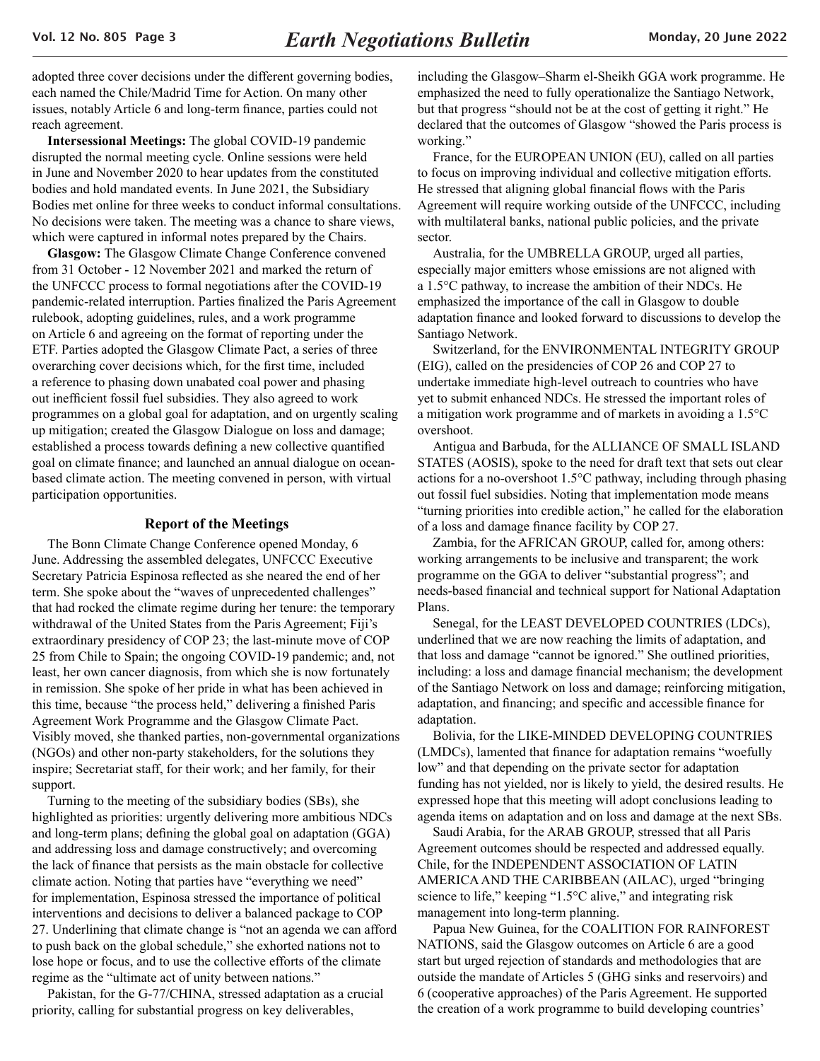<span id="page-2-0"></span>adopted three cover decisions under the different governing bodies, each named the Chile/Madrid Time for Action. On many other issues, notably Article 6 and long-term finance, parties could not reach agreement.

**Intersessional Meetings:** The global COVID-19 pandemic disrupted the normal meeting cycle. Online sessions were held in June and November 2020 to hear updates from the constituted bodies and hold mandated events. In June 2021, the Subsidiary Bodies met online for three weeks to conduct informal consultations. No decisions were taken. The meeting was a chance to share views, which were captured in informal notes prepared by the Chairs.

**Glasgow:** The Glasgow Climate Change Conference convened from 31 October - 12 November 2021 and marked the return of the UNFCCC process to formal negotiations after the COVID-19 pandemic-related interruption. Parties finalized the Paris Agreement rulebook, adopting guidelines, rules, and a work programme on Article 6 and agreeing on the format of reporting under the ETF. Parties adopted the Glasgow Climate Pact, a series of three overarching cover decisions which, for the first time, included a reference to phasing down unabated coal power and phasing out inefficient fossil fuel subsidies. They also agreed to work programmes on a global goal for adaptation, and on urgently scaling up mitigation; created the Glasgow Dialogue on loss and damage; established a process towards defining a new collective quantified goal on climate finance; and launched an annual dialogue on oceanbased climate action. The meeting convened in person, with virtual participation opportunities.

#### **Report of the Meetings**

The Bonn Climate Change Conference opened Monday, 6 June. Addressing the assembled delegates, UNFCCC Executive Secretary Patricia Espinosa reflected as she neared the end of her term. She spoke about the "waves of unprecedented challenges" that had rocked the climate regime during her tenure: the temporary withdrawal of the United States from the Paris Agreement; Fiji's extraordinary presidency of COP 23; the last-minute move of COP 25 from Chile to Spain; the ongoing COVID-19 pandemic; and, not least, her own cancer diagnosis, from which she is now fortunately in remission. She spoke of her pride in what has been achieved in this time, because "the process held," delivering a finished Paris Agreement Work Programme and the Glasgow Climate Pact. Visibly moved, she thanked parties, non-governmental organizations (NGOs) and other non-party stakeholders, for the solutions they inspire; Secretariat staff, for their work; and her family, for their support.

Turning to the meeting of the subsidiary bodies (SBs), she highlighted as priorities: urgently delivering more ambitious NDCs and long-term plans; defining the global goal on adaptation (GGA) and addressing loss and damage constructively; and overcoming the lack of finance that persists as the main obstacle for collective climate action. Noting that parties have "everything we need" for implementation, Espinosa stressed the importance of political interventions and decisions to deliver a balanced package to COP 27. Underlining that climate change is "not an agenda we can afford to push back on the global schedule," she exhorted nations not to lose hope or focus, and to use the collective efforts of the climate regime as the "ultimate act of unity between nations."

Pakistan, for the G-77/CHINA, stressed adaptation as a crucial priority, calling for substantial progress on key deliverables,

including the Glasgow–Sharm el-Sheikh GGA work programme. He emphasized the need to fully operationalize the Santiago Network, but that progress "should not be at the cost of getting it right." He declared that the outcomes of Glasgow "showed the Paris process is working."

France, for the EUROPEAN UNION (EU), called on all parties to focus on improving individual and collective mitigation efforts. He stressed that aligning global financial flows with the Paris Agreement will require working outside of the UNFCCC, including with multilateral banks, national public policies, and the private sector.

Australia, for the UMBRELLA GROUP, urged all parties, especially major emitters whose emissions are not aligned with a 1.5°C pathway, to increase the ambition of their NDCs. He emphasized the importance of the call in Glasgow to double adaptation finance and looked forward to discussions to develop the Santiago Network.

Switzerland, for the ENVIRONMENTAL INTEGRITY GROUP (EIG), called on the presidencies of COP 26 and COP 27 to undertake immediate high-level outreach to countries who have yet to submit enhanced NDCs. He stressed the important roles of a mitigation work programme and of markets in avoiding a 1.5°C overshoot.

Antigua and Barbuda, for the ALLIANCE OF SMALL ISLAND STATES (AOSIS), spoke to the need for draft text that sets out clear actions for a no-overshoot 1.5°C pathway, including through phasing out fossil fuel subsidies. Noting that implementation mode means "turning priorities into credible action," he called for the elaboration of a loss and damage finance facility by COP 27.

Zambia, for the AFRICAN GROUP, called for, among others: working arrangements to be inclusive and transparent; the work programme on the GGA to deliver "substantial progress"; and needs-based financial and technical support for National Adaptation Plans.

Senegal, for the LEAST DEVELOPED COUNTRIES (LDCs), underlined that we are now reaching the limits of adaptation, and that loss and damage "cannot be ignored." She outlined priorities, including: a loss and damage financial mechanism; the development of the Santiago Network on loss and damage; reinforcing mitigation, adaptation, and financing; and specific and accessible finance for adaptation.

Bolivia, for the LIKE-MINDED DEVELOPING COUNTRIES (LMDCs), lamented that finance for adaptation remains "woefully low" and that depending on the private sector for adaptation funding has not yielded, nor is likely to yield, the desired results. He expressed hope that this meeting will adopt conclusions leading to agenda items on adaptation and on loss and damage at the next SBs.

Saudi Arabia, for the ARAB GROUP, stressed that all Paris Agreement outcomes should be respected and addressed equally. Chile, for the INDEPENDENT ASSOCIATION OF LATIN AMERICA AND THE CARIBBEAN (AILAC), urged "bringing science to life," keeping "1.5°C alive," and integrating risk management into long-term planning.

Papua New Guinea, for the COALITION FOR RAINFOREST NATIONS, said the Glasgow outcomes on Article 6 are a good start but urged rejection of standards and methodologies that are outside the mandate of Articles 5 (GHG sinks and reservoirs) and 6 (cooperative approaches) of the Paris Agreement. He supported the creation of a work programme to build developing countries'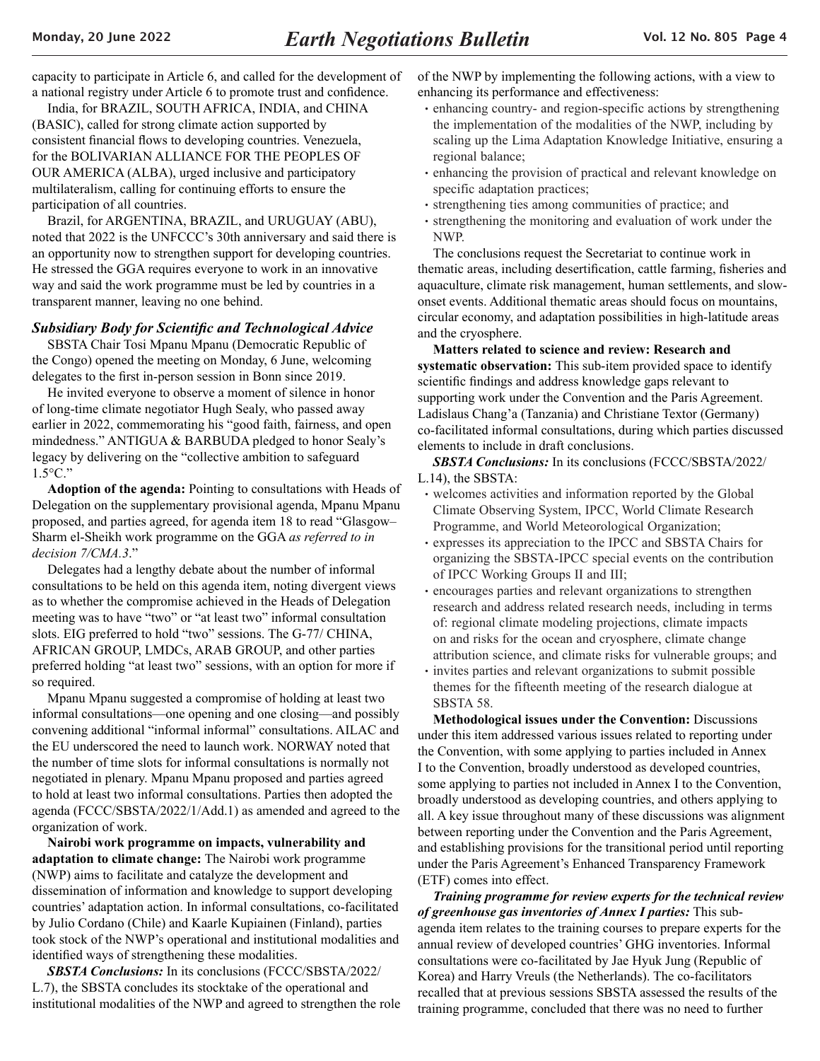<span id="page-3-0"></span>capacity to participate in Article 6, and called for the development of a national registry under Article 6 to promote trust and confidence.

India, for BRAZIL, SOUTH AFRICA, INDIA, and CHINA (BASIC), called for strong climate action supported by consistent financial flows to developing countries. Venezuela, for the BOLIVARIAN ALLIANCE FOR THE PEOPLES OF OUR AMERICA (ALBA), urged inclusive and participatory multilateralism, calling for continuing efforts to ensure the participation of all countries.

Brazil, for ARGENTINA, BRAZIL, and URUGUAY (ABU), noted that 2022 is the UNFCCC's 30th anniversary and said there is an opportunity now to strengthen support for developing countries. He stressed the GGA requires everyone to work in an innovative way and said the work programme must be led by countries in a transparent manner, leaving no one behind.

## *Subsidiary Body for Scientific and Technological Advice*

SBSTA Chair Tosi Mpanu Mpanu (Democratic Republic of the Congo) opened the meeting on Monday, 6 June, welcoming delegates to the first in-person session in Bonn since 2019.

He invited everyone to observe a moment of silence in honor of long-time climate negotiator Hugh Sealy, who passed away earlier in 2022, commemorating his "good faith, fairness, and open mindedness." ANTIGUA & BARBUDA pledged to honor Sealy's legacy by delivering on the "collective ambition to safeguard 1.5°C."

**Adoption of the agenda:** Pointing to consultations with Heads of Delegation on the supplementary provisional agenda, Mpanu Mpanu proposed, and parties agreed, for agenda item 18 to read "Glasgow– Sharm el-Sheikh work programme on the GGA *as referred to in decision 7/CMA.3*."

Delegates had a lengthy debate about the number of informal consultations to be held on this agenda item, noting divergent views as to whether the compromise achieved in the Heads of Delegation meeting was to have "two" or "at least two" informal consultation slots. EIG preferred to hold "two" sessions. The G-77/ CHINA, AFRICAN GROUP, LMDCs, ARAB GROUP, and other parties preferred holding "at least two" sessions, with an option for more if so required.

Mpanu Mpanu suggested a compromise of holding at least two informal consultations—one opening and one closing—and possibly convening additional "informal informal" consultations. AILAC and the EU underscored the need to launch work. NORWAY noted that the number of time slots for informal consultations is normally not negotiated in plenary. Mpanu Mpanu proposed and parties agreed to hold at least two informal consultations. Parties then adopted the agenda (FCCC/SBSTA/2022/1/Add.1) as amended and agreed to the organization of work.

**Nairobi work programme on impacts, vulnerability and adaptation to climate change:** The Nairobi work programme (NWP) aims to facilitate and catalyze the development and dissemination of information and knowledge to support developing countries' adaptation action. In informal consultations, co-facilitated by Julio Cordano (Chile) and Kaarle Kupiainen (Finland), parties took stock of the NWP's operational and institutional modalities and identified ways of strengthening these modalities.

*SBSTA Conclusions:* In its conclusions (FCCC/SBSTA/2022/ L.7), the SBSTA concludes its stocktake of the operational and institutional modalities of the NWP and agreed to strengthen the role of the NWP by implementing the following actions, with a view to enhancing its performance and effectiveness:

- enhancing country- and region-specific actions by strengthening the implementation of the modalities of the NWP, including by scaling up the Lima Adaptation Knowledge Initiative, ensuring a regional balance;
- enhancing the provision of practical and relevant knowledge on specific adaptation practices;
- strengthening ties among communities of practice; and
- strengthening the monitoring and evaluation of work under the NWP.

The conclusions request the Secretariat to continue work in thematic areas, including desertification, cattle farming, fisheries and aquaculture, climate risk management, human settlements, and slowonset events. Additional thematic areas should focus on mountains, circular economy, and adaptation possibilities in high-latitude areas and the cryosphere.

**Matters related to science and review: Research and systematic observation:** This sub-item provided space to identify scientific findings and address knowledge gaps relevant to supporting work under the Convention and the Paris Agreement. Ladislaus Chang'a (Tanzania) and Christiane Textor (Germany) co-facilitated informal consultations, during which parties discussed elements to include in draft conclusions.

*SBSTA Conclusions:* In its conclusions (FCCC/SBSTA/2022/ L.14), the SBSTA:

- welcomes activities and information reported by the Global Climate Observing System, IPCC, World Climate Research Programme, and World Meteorological Organization;
- expresses its appreciation to the IPCC and SBSTA Chairs for organizing the SBSTA-IPCC special events on the contribution of IPCC Working Groups II and III;
- encourages parties and relevant organizations to strengthen research and address related research needs, including in terms of: regional climate modeling projections, climate impacts on and risks for the ocean and cryosphere, climate change attribution science, and climate risks for vulnerable groups; and
- invites parties and relevant organizations to submit possible themes for the fifteenth meeting of the research dialogue at SBSTA 58.

**Methodological issues under the Convention:** Discussions under this item addressed various issues related to reporting under the Convention, with some applying to parties included in Annex I to the Convention, broadly understood as developed countries, some applying to parties not included in Annex I to the Convention, broadly understood as developing countries, and others applying to all. A key issue throughout many of these discussions was alignment between reporting under the Convention and the Paris Agreement, and establishing provisions for the transitional period until reporting under the Paris Agreement's Enhanced Transparency Framework (ETF) comes into effect.

*Training programme for review experts for the technical review of greenhouse gas inventories of Annex I parties:* This subagenda item relates to the training courses to prepare experts for the annual review of developed countries' GHG inventories. Informal consultations were co-facilitated by Jae Hyuk Jung (Republic of Korea) and Harry Vreuls (the Netherlands). The co-facilitators recalled that at previous sessions SBSTA assessed the results of the training programme, concluded that there was no need to further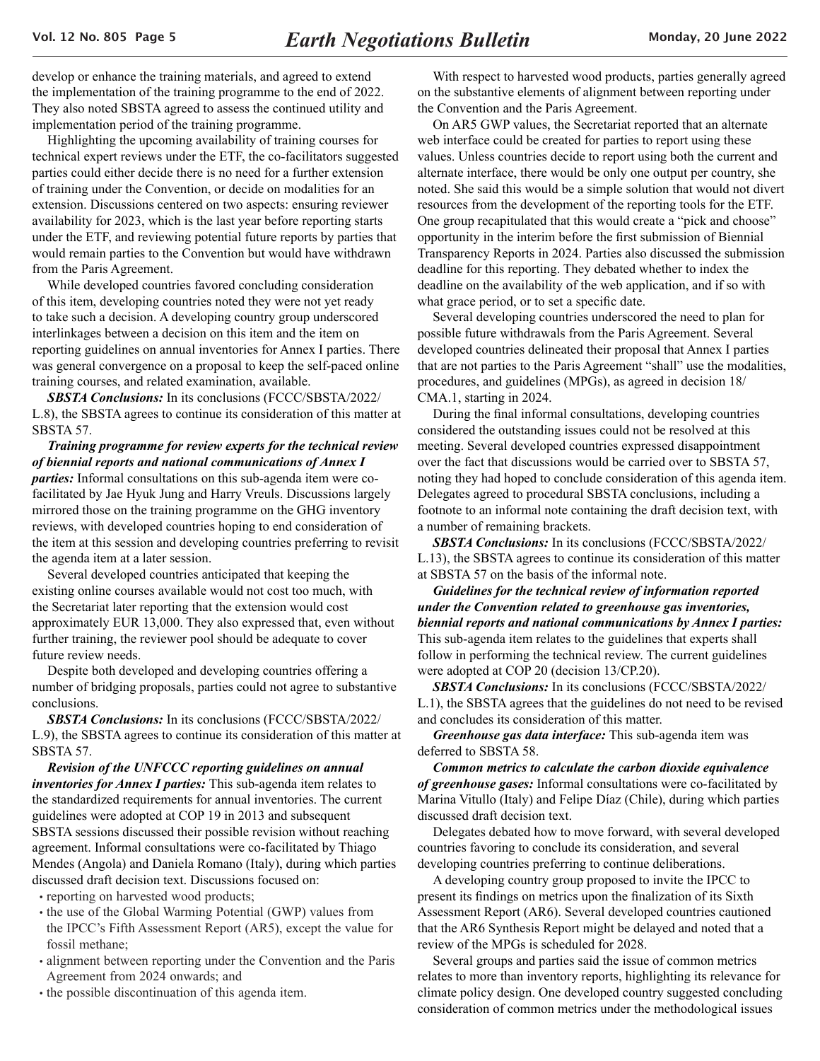develop or enhance the training materials, and agreed to extend the implementation of the training programme to the end of 2022. They also noted SBSTA agreed to assess the continued utility and implementation period of the training programme.

Highlighting the upcoming availability of training courses for technical expert reviews under the ETF, the co-facilitators suggested parties could either decide there is no need for a further extension of training under the Convention, or decide on modalities for an extension. Discussions centered on two aspects: ensuring reviewer availability for 2023, which is the last year before reporting starts under the ETF, and reviewing potential future reports by parties that would remain parties to the Convention but would have withdrawn from the Paris Agreement.

While developed countries favored concluding consideration of this item, developing countries noted they were not yet ready to take such a decision. A developing country group underscored interlinkages between a decision on this item and the item on reporting guidelines on annual inventories for Annex I parties. There was general convergence on a proposal to keep the self-paced online training courses, and related examination, available.

*SBSTA Conclusions:* In its conclusions (FCCC/SBSTA/2022/ L.8), the SBSTA agrees to continue its consideration of this matter at SBSTA 57.

*Training programme for review experts for the technical review of biennial reports and national communications of Annex I parties:* Informal consultations on this sub-agenda item were cofacilitated by Jae Hyuk Jung and Harry Vreuls. Discussions largely mirrored those on the training programme on the GHG inventory reviews, with developed countries hoping to end consideration of the item at this session and developing countries preferring to revisit the agenda item at a later session.

Several developed countries anticipated that keeping the existing online courses available would not cost too much, with the Secretariat later reporting that the extension would cost approximately EUR 13,000. They also expressed that, even without further training, the reviewer pool should be adequate to cover future review needs.

Despite both developed and developing countries offering a number of bridging proposals, parties could not agree to substantive conclusions.

*SBSTA Conclusions:* In its conclusions (FCCC/SBSTA/2022/ L.9), the SBSTA agrees to continue its consideration of this matter at SBSTA 57.

*Revision of the UNFCCC reporting guidelines on annual inventories for Annex I parties:* This sub-agenda item relates to the standardized requirements for annual inventories. The current guidelines were adopted at COP 19 in 2013 and subsequent SBSTA sessions discussed their possible revision without reaching agreement. Informal consultations were co-facilitated by Thiago Mendes (Angola) and Daniela Romano (Italy), during which parties discussed draft decision text. Discussions focused on:

• reporting on harvested wood products;

- the use of the Global Warming Potential (GWP) values from the IPCC's Fifth Assessment Report (AR5), except the value for fossil methane;
- alignment between reporting under the Convention and the Paris Agreement from 2024 onwards; and
- the possible discontinuation of this agenda item.

With respect to harvested wood products, parties generally agreed on the substantive elements of alignment between reporting under the Convention and the Paris Agreement.

On AR5 GWP values, the Secretariat reported that an alternate web interface could be created for parties to report using these values. Unless countries decide to report using both the current and alternate interface, there would be only one output per country, she noted. She said this would be a simple solution that would not divert resources from the development of the reporting tools for the ETF. One group recapitulated that this would create a "pick and choose" opportunity in the interim before the first submission of Biennial Transparency Reports in 2024. Parties also discussed the submission deadline for this reporting. They debated whether to index the deadline on the availability of the web application, and if so with what grace period, or to set a specific date.

Several developing countries underscored the need to plan for possible future withdrawals from the Paris Agreement. Several developed countries delineated their proposal that Annex I parties that are not parties to the Paris Agreement "shall" use the modalities, procedures, and guidelines (MPGs), as agreed in decision 18/ CMA.1, starting in 2024.

During the final informal consultations, developing countries considered the outstanding issues could not be resolved at this meeting. Several developed countries expressed disappointment over the fact that discussions would be carried over to SBSTA 57, noting they had hoped to conclude consideration of this agenda item. Delegates agreed to procedural SBSTA conclusions, including a footnote to an informal note containing the draft decision text, with a number of remaining brackets.

*SBSTA Conclusions:* In its conclusions (FCCC/SBSTA/2022/ L.13), the SBSTA agrees to continue its consideration of this matter at SBSTA 57 on the basis of the informal note.

*Guidelines for the technical review of information reported under the Convention related to greenhouse gas inventories, biennial reports and national communications by Annex I parties:* This sub-agenda item relates to the guidelines that experts shall follow in performing the technical review. The current guidelines were adopted at COP 20 (decision 13/CP.20).

*SBSTA Conclusions:* In its conclusions (FCCC/SBSTA/2022/ L.1), the SBSTA agrees that the guidelines do not need to be revised and concludes its consideration of this matter.

*Greenhouse gas data interface:* This sub-agenda item was deferred to SBSTA 58.

*Common metrics to calculate the carbon dioxide equivalence of greenhouse gases:* Informal consultations were co-facilitated by Marina Vitullo (Italy) and Felipe Díaz (Chile), during which parties discussed draft decision text.

Delegates debated how to move forward, with several developed countries favoring to conclude its consideration, and several developing countries preferring to continue deliberations.

A developing country group proposed to invite the IPCC to present its findings on metrics upon the finalization of its Sixth Assessment Report (AR6). Several developed countries cautioned that the AR6 Synthesis Report might be delayed and noted that a review of the MPGs is scheduled for 2028.

Several groups and parties said the issue of common metrics relates to more than inventory reports, highlighting its relevance for climate policy design. One developed country suggested concluding consideration of common metrics under the methodological issues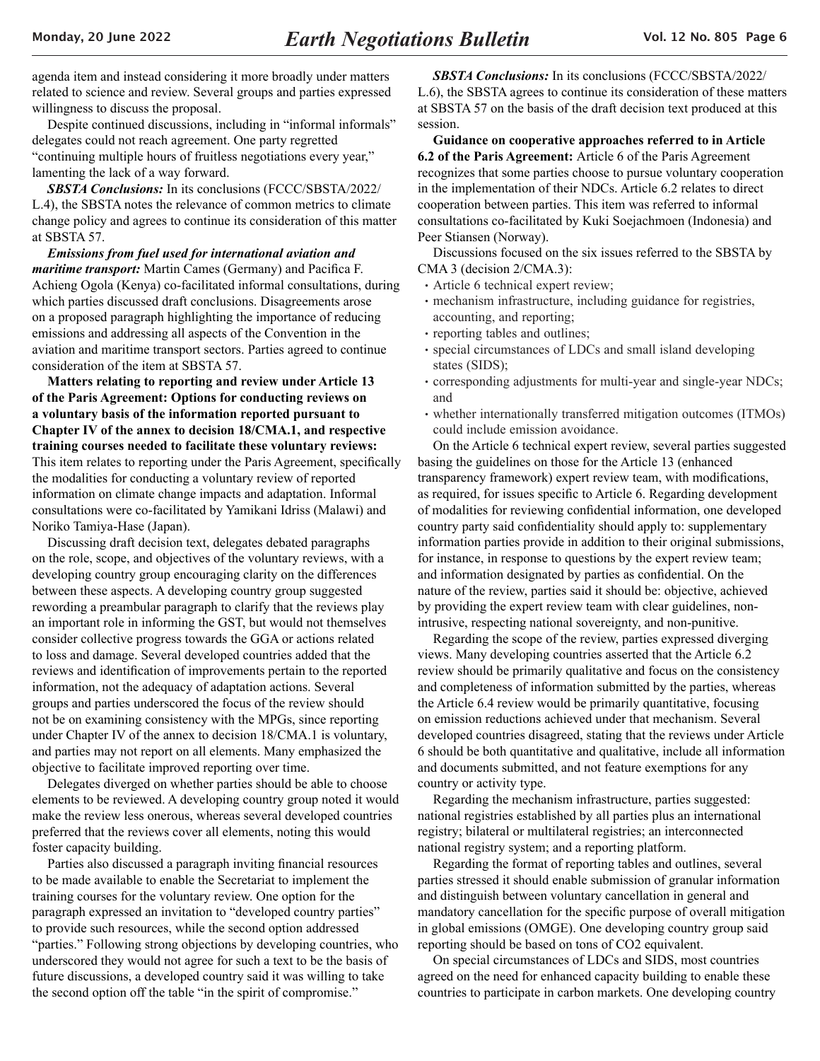agenda item and instead considering it more broadly under matters related to science and review. Several groups and parties expressed willingness to discuss the proposal.

Despite continued discussions, including in "informal informals" delegates could not reach agreement. One party regretted "continuing multiple hours of fruitless negotiations every year," lamenting the lack of a way forward.

*SBSTA Conclusions:* In its conclusions (FCCC/SBSTA/2022/ L.4), the SBSTA notes the relevance of common metrics to climate change policy and agrees to continue its consideration of this matter at SBSTA 57.

*Emissions from fuel used for international aviation and maritime transport:* Martin Cames (Germany) and Pacifica F. Achieng Ogola (Kenya) co-facilitated informal consultations, during which parties discussed draft conclusions. Disagreements arose on a proposed paragraph highlighting the importance of reducing emissions and addressing all aspects of the Convention in the aviation and maritime transport sectors. Parties agreed to continue consideration of the item at SBSTA 57.

**Matters relating to reporting and review under Article 13 of the Paris Agreement: Options for conducting reviews on a voluntary basis of the information reported pursuant to Chapter IV of the annex to decision 18/CMA.1, and respective training courses needed to facilitate these voluntary reviews:**  This item relates to reporting under the Paris Agreement, specifically the modalities for conducting a voluntary review of reported information on climate change impacts and adaptation. Informal consultations were co-facilitated by Yamikani Idriss (Malawi) and Noriko Tamiya-Hase (Japan).

Discussing draft decision text, delegates debated paragraphs on the role, scope, and objectives of the voluntary reviews, with a developing country group encouraging clarity on the differences between these aspects. A developing country group suggested rewording a preambular paragraph to clarify that the reviews play an important role in informing the GST, but would not themselves consider collective progress towards the GGA or actions related to loss and damage. Several developed countries added that the reviews and identification of improvements pertain to the reported information, not the adequacy of adaptation actions. Several groups and parties underscored the focus of the review should not be on examining consistency with the MPGs, since reporting under Chapter IV of the annex to decision 18/CMA.1 is voluntary, and parties may not report on all elements. Many emphasized the objective to facilitate improved reporting over time.

Delegates diverged on whether parties should be able to choose elements to be reviewed. A developing country group noted it would make the review less onerous, whereas several developed countries preferred that the reviews cover all elements, noting this would foster capacity building.

Parties also discussed a paragraph inviting financial resources to be made available to enable the Secretariat to implement the training courses for the voluntary review. One option for the paragraph expressed an invitation to "developed country parties" to provide such resources, while the second option addressed "parties." Following strong objections by developing countries, who underscored they would not agree for such a text to be the basis of future discussions, a developed country said it was willing to take the second option off the table "in the spirit of compromise."

*SBSTA Conclusions:* In its conclusions (FCCC/SBSTA/2022/ L.6), the SBSTA agrees to continue its consideration of these matters at SBSTA 57 on the basis of the draft decision text produced at this session.

**Guidance on cooperative approaches referred to in Article 6.2 of the Paris Agreement:** Article 6 of the Paris Agreement recognizes that some parties choose to pursue voluntary cooperation in the implementation of their NDCs. Article 6.2 relates to direct cooperation between parties. This item was referred to informal consultations co-facilitated by Kuki Soejachmoen (Indonesia) and Peer Stiansen (Norway).

Discussions focused on the six issues referred to the SBSTA by CMA 3 (decision 2/CMA.3):

- Article 6 technical expert review;
- mechanism infrastructure, including guidance for registries, accounting, and reporting;
- reporting tables and outlines;
- special circumstances of LDCs and small island developing states (SIDS);
- corresponding adjustments for multi-year and single-year NDCs; and
- whether internationally transferred mitigation outcomes (ITMOs) could include emission avoidance.

On the Article 6 technical expert review, several parties suggested basing the guidelines on those for the Article 13 (enhanced transparency framework) expert review team, with modifications, as required, for issues specific to Article 6. Regarding development of modalities for reviewing confidential information, one developed country party said confidentiality should apply to: supplementary information parties provide in addition to their original submissions, for instance, in response to questions by the expert review team; and information designated by parties as confidential. On the nature of the review, parties said it should be: objective, achieved by providing the expert review team with clear guidelines, nonintrusive, respecting national sovereignty, and non-punitive.

Regarding the scope of the review, parties expressed diverging views. Many developing countries asserted that the Article 6.2 review should be primarily qualitative and focus on the consistency and completeness of information submitted by the parties, whereas the Article 6.4 review would be primarily quantitative, focusing on emission reductions achieved under that mechanism. Several developed countries disagreed, stating that the reviews under Article 6 should be both quantitative and qualitative, include all information and documents submitted, and not feature exemptions for any country or activity type.

Regarding the mechanism infrastructure, parties suggested: national registries established by all parties plus an international registry; bilateral or multilateral registries; an interconnected national registry system; and a reporting platform.

Regarding the format of reporting tables and outlines, several parties stressed it should enable submission of granular information and distinguish between voluntary cancellation in general and mandatory cancellation for the specific purpose of overall mitigation in global emissions (OMGE). One developing country group said reporting should be based on tons of CO2 equivalent.

On special circumstances of LDCs and SIDS, most countries agreed on the need for enhanced capacity building to enable these countries to participate in carbon markets. One developing country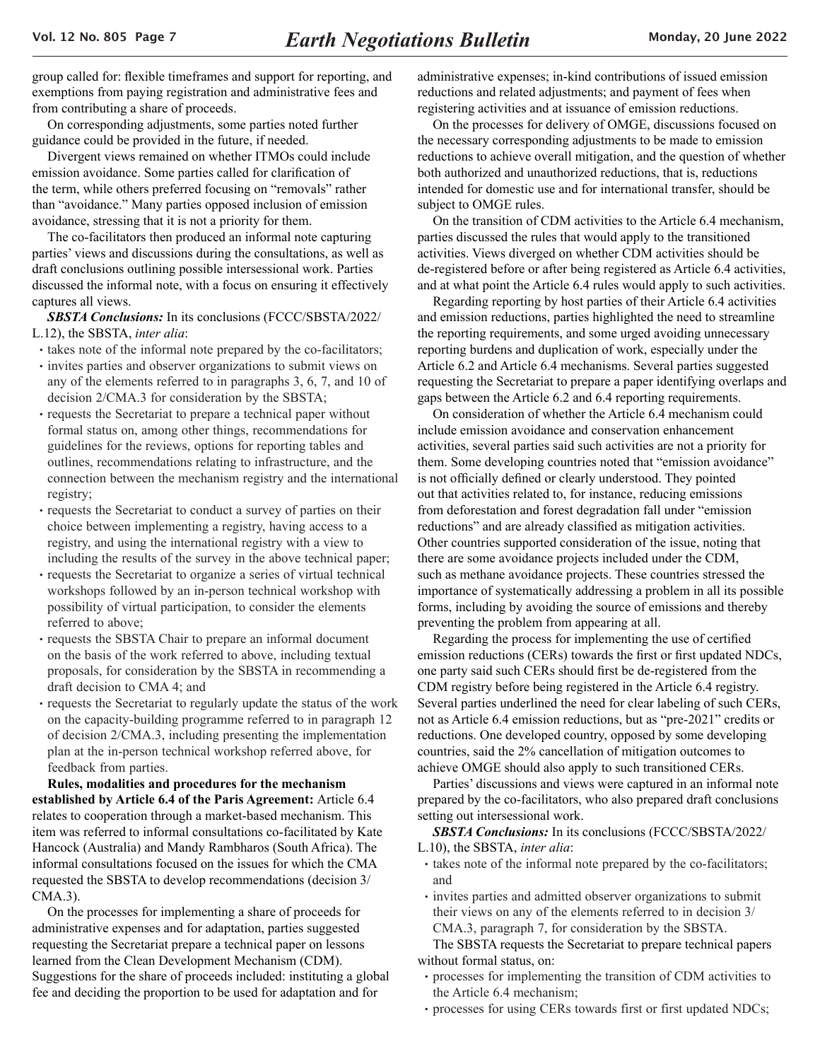group called for: flexible timeframes and support for reporting, and exemptions from paying registration and administrative fees and from contributing a share of proceeds.

On corresponding adjustments, some parties noted further guidance could be provided in the future, if needed.

Divergent views remained on whether ITMOs could include emission avoidance. Some parties called for clarification of the term, while others preferred focusing on "removals" rather than "avoidance." Many parties opposed inclusion of emission avoidance, stressing that it is not a priority for them.

The co-facilitators then produced an informal note capturing parties' views and discussions during the consultations, as well as draft conclusions outlining possible intersessional work. Parties discussed the informal note, with a focus on ensuring it effectively captures all views.

*SBSTA Conclusions:* In its conclusions (FCCC/SBSTA/2022/ L.12), the SBSTA, *inter alia*:

- •takes note of the informal note prepared by the co-facilitators;
- •invites parties and observer organizations to submit views on any of the elements referred to in paragraphs 3, 6, 7, and 10 of decision 2/CMA.3 for consideration by the SBSTA;
- requests the Secretariat to prepare a technical paper without formal status on, among other things, recommendations for guidelines for the reviews, options for reporting tables and outlines, recommendations relating to infrastructure, and the connection between the mechanism registry and the international registry;
- requests the Secretariat to conduct a survey of parties on their choice between implementing a registry, having access to a registry, and using the international registry with a view to including the results of the survey in the above technical paper;
- •requests the Secretariat to organize a series of virtual technical workshops followed by an in-person technical workshop with possibility of virtual participation, to consider the elements referred to above;
- •requests the SBSTA Chair to prepare an informal document on the basis of the work referred to above, including textual proposals, for consideration by the SBSTA in recommending a draft decision to CMA 4; and
- requests the Secretariat to regularly update the status of the work on the capacity-building programme referred to in paragraph 12 of decision 2/CMA.3, including presenting the implementation plan at the in-person technical workshop referred above, for feedback from parties.

**Rules, modalities and procedures for the mechanism established by Article 6.4 of the Paris Agreement:** Article 6.4 relates to cooperation through a market-based mechanism. This item was referred to informal consultations co-facilitated by Kate Hancock (Australia) and Mandy Rambharos (South Africa). The informal consultations focused on the issues for which the CMA requested the SBSTA to develop recommendations (decision 3/ CMA.3).

On the processes for implementing a share of proceeds for administrative expenses and for adaptation, parties suggested requesting the Secretariat prepare a technical paper on lessons learned from the Clean Development Mechanism (CDM). Suggestions for the share of proceeds included: instituting a global fee and deciding the proportion to be used for adaptation and for

administrative expenses; in-kind contributions of issued emission reductions and related adjustments; and payment of fees when registering activities and at issuance of emission reductions.

On the processes for delivery of OMGE, discussions focused on the necessary corresponding adjustments to be made to emission reductions to achieve overall mitigation, and the question of whether both authorized and unauthorized reductions, that is, reductions intended for domestic use and for international transfer, should be subject to OMGE rules.

On the transition of CDM activities to the Article 6.4 mechanism, parties discussed the rules that would apply to the transitioned activities. Views diverged on whether CDM activities should be de-registered before or after being registered as Article 6.4 activities, and at what point the Article 6.4 rules would apply to such activities.

Regarding reporting by host parties of their Article 6.4 activities and emission reductions, parties highlighted the need to streamline the reporting requirements, and some urged avoiding unnecessary reporting burdens and duplication of work, especially under the Article 6.2 and Article 6.4 mechanisms. Several parties suggested requesting the Secretariat to prepare a paper identifying overlaps and gaps between the Article 6.2 and 6.4 reporting requirements.

On consideration of whether the Article 6.4 mechanism could include emission avoidance and conservation enhancement activities, several parties said such activities are not a priority for them. Some developing countries noted that "emission avoidance" is not officially defined or clearly understood. They pointed out that activities related to, for instance, reducing emissions from deforestation and forest degradation fall under "emission reductions" and are already classified as mitigation activities. Other countries supported consideration of the issue, noting that there are some avoidance projects included under the CDM, such as methane avoidance projects. These countries stressed the importance of systematically addressing a problem in all its possible forms, including by avoiding the source of emissions and thereby preventing the problem from appearing at all.

Regarding the process for implementing the use of certified emission reductions (CERs) towards the first or first updated NDCs, one party said such CERs should first be de-registered from the CDM registry before being registered in the Article 6.4 registry. Several parties underlined the need for clear labeling of such CERs, not as Article 6.4 emission reductions, but as "pre-2021" credits or reductions. One developed country, opposed by some developing countries, said the 2% cancellation of mitigation outcomes to achieve OMGE should also apply to such transitioned CERs.

Parties' discussions and views were captured in an informal note prepared by the co-facilitators, who also prepared draft conclusions setting out intersessional work.

*SBSTA Conclusions:* In its conclusions (FCCC/SBSTA/2022/ L.10), the SBSTA, *inter alia*:

- takes note of the informal note prepared by the co-facilitators; and
- invites parties and admitted observer organizations to submit their views on any of the elements referred to in decision 3/ CMA.3, paragraph 7, for consideration by the SBSTA.

The SBSTA requests the Secretariat to prepare technical papers without formal status, on:

- processes for implementing the transition of CDM activities to the Article 6.4 mechanism;
- processes for using CERs towards first or first updated NDCs;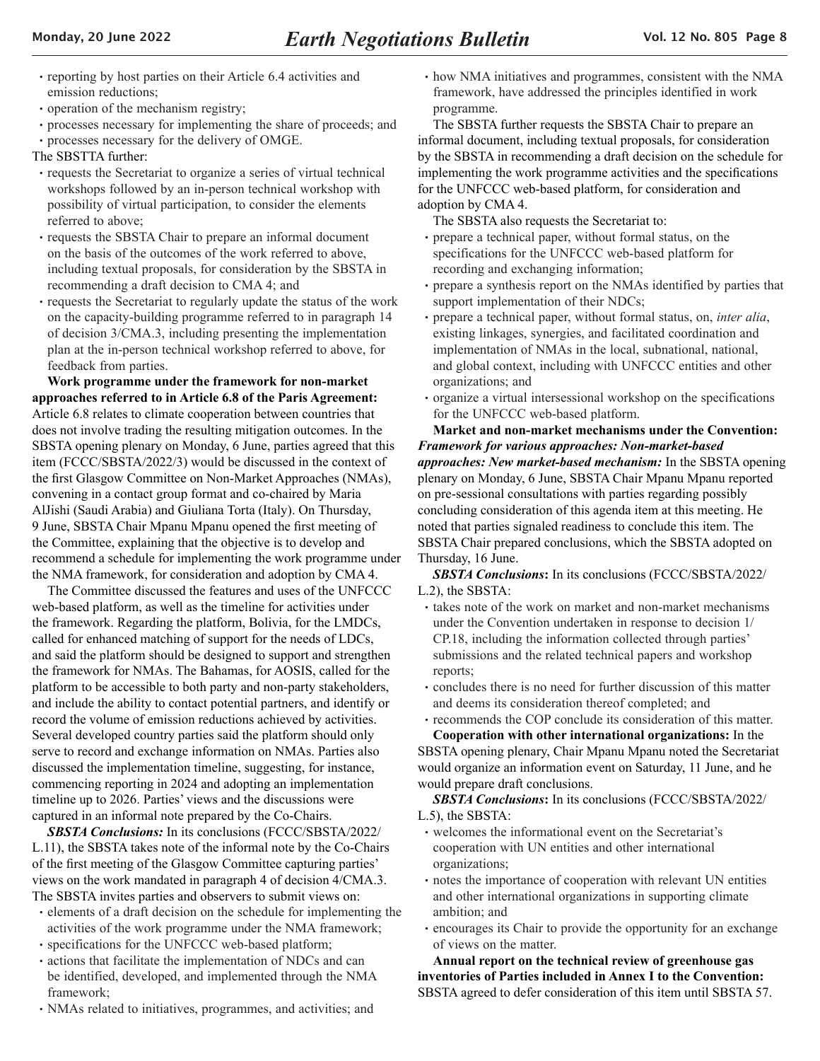- reporting by host parties on their Article 6.4 activities and emission reductions;
- operation of the mechanism registry;
- •processes necessary for implementing the share of proceeds; and
- •processes necessary for the delivery of OMGE.

#### The SBSTTA further:

- •requests the Secretariat to organize a series of virtual technical workshops followed by an in-person technical workshop with possibility of virtual participation, to consider the elements referred to above;
- requests the SBSTA Chair to prepare an informal document on the basis of the outcomes of the work referred to above, including textual proposals, for consideration by the SBSTA in recommending a draft decision to CMA 4; and
- •requests the Secretariat to regularly update the status of the work on the capacity-building programme referred to in paragraph 14 of decision 3/CMA.3, including presenting the implementation plan at the in-person technical workshop referred to above, for feedback from parties.

**Work programme under the framework for non-market approaches referred to in Article 6.8 of the Paris Agreement:**  Article 6.8 relates to climate cooperation between countries that does not involve trading the resulting mitigation outcomes. In the SBSTA opening plenary on Monday, 6 June, parties agreed that this item (FCCC/SBSTA/2022/3) would be discussed in the context of the first Glasgow Committee on Non-Market Approaches (NMAs), convening in a contact group format and co-chaired by Maria AlJishi (Saudi Arabia) and Giuliana Torta (Italy). On Thursday, 9 June, SBSTA Chair Mpanu Mpanu opened the first meeting of the Committee, explaining that the objective is to develop and recommend a schedule for implementing the work programme under the NMA framework, for consideration and adoption by CMA 4.

The Committee discussed the features and uses of the UNFCCC web-based platform, as well as the timeline for activities under the framework. Regarding the platform, Bolivia, for the LMDCs, called for enhanced matching of support for the needs of LDCs, and said the platform should be designed to support and strengthen the framework for NMAs. The Bahamas, for AOSIS, called for the platform to be accessible to both party and non-party stakeholders, and include the ability to contact potential partners, and identify or record the volume of emission reductions achieved by activities. Several developed country parties said the platform should only serve to record and exchange information on NMAs. Parties also discussed the implementation timeline, suggesting, for instance, commencing reporting in 2024 and adopting an implementation timeline up to 2026. Parties' views and the discussions were captured in an informal note prepared by the Co-Chairs.

*SBSTA Conclusions:* In its conclusions (FCCC/SBSTA/2022/ L.11), the SBSTA takes note of the informal note by the Co-Chairs of the first meeting of the Glasgow Committee capturing parties' views on the work mandated in paragraph 4 of decision 4/CMA.3. The SBSTA invites parties and observers to submit views on:

- •elements of a draft decision on the schedule for implementing the activities of the work programme under the NMA framework;
- •specifications for the UNFCCC web-based platform;
- •actions that facilitate the implementation of NDCs and can be identified, developed, and implemented through the NMA framework;
- NMAs related to initiatives, programmes, and activities; and

• how NMA initiatives and programmes, consistent with the NMA framework, have addressed the principles identified in work programme.

The SBSTA further requests the SBSTA Chair to prepare an informal document, including textual proposals, for consideration by the SBSTA in recommending a draft decision on the schedule for implementing the work programme activities and the specifications for the UNFCCC web-based platform, for consideration and adoption by CMA 4.

The SBSTA also requests the Secretariat to:

- prepare a technical paper, without formal status, on the specifications for the UNFCCC web-based platform for recording and exchanging information;
- prepare a synthesis report on the NMAs identified by parties that support implementation of their NDCs;
- prepare a technical paper, without formal status, on, *inter alia*, existing linkages, synergies, and facilitated coordination and implementation of NMAs in the local, subnational, national, and global context, including with UNFCCC entities and other organizations; and
- organize a virtual intersessional workshop on the specifications for the UNFCCC web-based platform.

**Market and non-market mechanisms under the Convention:**  *Framework for various approaches: Non-market-based approaches: New market-based mechanism:* In the SBSTA opening plenary on Monday, 6 June, SBSTA Chair Mpanu Mpanu reported on pre-sessional consultations with parties regarding possibly concluding consideration of this agenda item at this meeting. He noted that parties signaled readiness to conclude this item. The SBSTA Chair prepared conclusions, which the SBSTA adopted on Thursday, 16 June.

*SBSTA Conclusions***:** In its conclusions (FCCC/SBSTA/2022/ L.2), the SBSTA:

- takes note of the work on market and non-market mechanisms under the Convention undertaken in response to decision 1/ CP.18, including the information collected through parties' submissions and the related technical papers and workshop reports;
- concludes there is no need for further discussion of this matter and deems its consideration thereof completed; and

• recommends the COP conclude its consideration of this matter.

**Cooperation with other international organizations:** In the SBSTA opening plenary, Chair Mpanu Mpanu noted the Secretariat would organize an information event on Saturday, 11 June, and he would prepare draft conclusions.

*SBSTA Conclusions***:** In its conclusions (FCCC/SBSTA/2022/ L.5), the SBSTA:

- welcomes the informational event on the Secretariat's cooperation with UN entities and other international organizations;
- notes the importance of cooperation with relevant UN entities and other international organizations in supporting climate ambition; and
- encourages its Chair to provide the opportunity for an exchange of views on the matter.

**Annual report on the technical review of greenhouse gas inventories of Parties included in Annex I to the Convention:** SBSTA agreed to defer consideration of this item until SBSTA 57.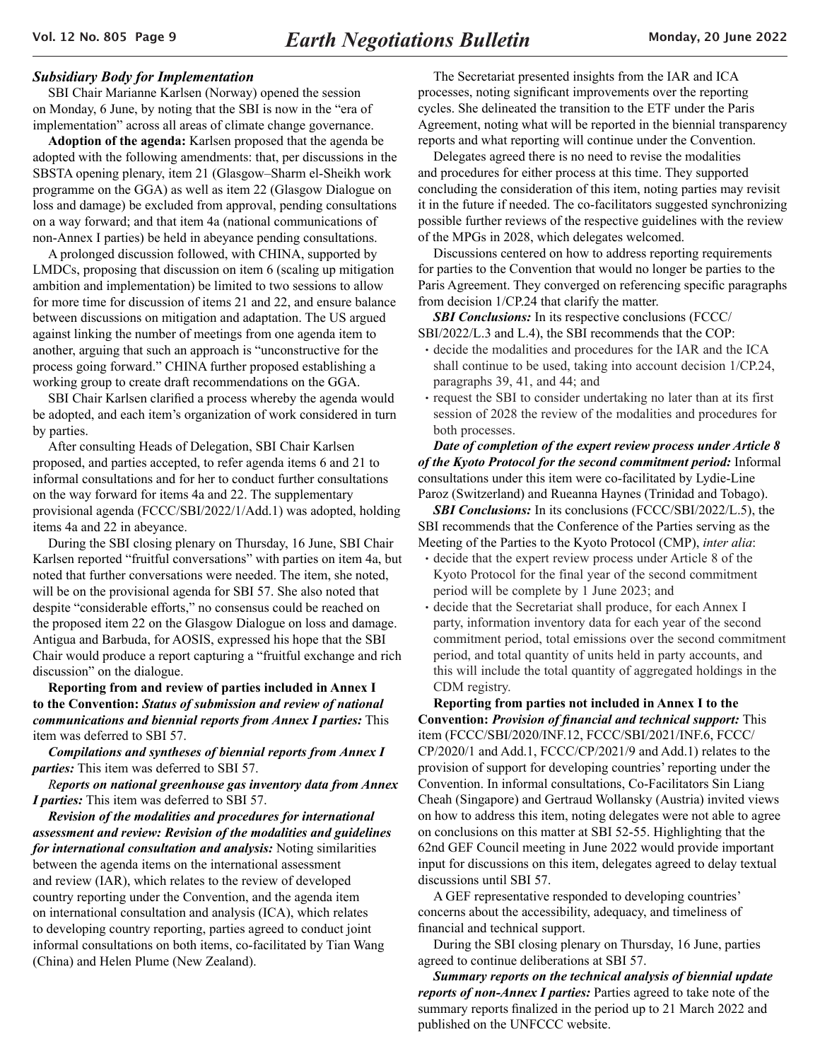#### <span id="page-8-0"></span>*Subsidiary Body for Implementation*

SBI Chair Marianne Karlsen (Norway) opened the session on Monday, 6 June, by noting that the SBI is now in the "era of implementation" across all areas of climate change governance.

**Adoption of the agenda:** Karlsen proposed that the agenda be adopted with the following amendments: that, per discussions in the SBSTA opening plenary, item 21 (Glasgow–Sharm el-Sheikh work programme on the GGA) as well as item 22 (Glasgow Dialogue on loss and damage) be excluded from approval, pending consultations on a way forward; and that item 4a (national communications of non-Annex I parties) be held in abeyance pending consultations.

A prolonged discussion followed, with CHINA, supported by LMDCs, proposing that discussion on item 6 (scaling up mitigation ambition and implementation) be limited to two sessions to allow for more time for discussion of items 21 and 22, and ensure balance between discussions on mitigation and adaptation. The US argued against linking the number of meetings from one agenda item to another, arguing that such an approach is "unconstructive for the process going forward." CHINA further proposed establishing a working group to create draft recommendations on the GGA.

SBI Chair Karlsen clarified a process whereby the agenda would be adopted, and each item's organization of work considered in turn by parties.

After consulting Heads of Delegation, SBI Chair Karlsen proposed, and parties accepted, to refer agenda items 6 and 21 to informal consultations and for her to conduct further consultations on the way forward for items 4a and 22. The supplementary provisional agenda (FCCC/SBI/2022/1/Add.1) was adopted, holding items 4a and 22 in abeyance.

During the SBI closing plenary on Thursday, 16 June, SBI Chair Karlsen reported "fruitful conversations" with parties on item 4a, but noted that further conversations were needed. The item, she noted, will be on the provisional agenda for SBI 57. She also noted that despite "considerable efforts," no consensus could be reached on the proposed item 22 on the Glasgow Dialogue on loss and damage. Antigua and Barbuda, for AOSIS, expressed his hope that the SBI Chair would produce a report capturing a "fruitful exchange and rich discussion" on the dialogue.

**Reporting from and review of parties included in Annex I to the Convention:** *Status of submission and review of national communications and biennial reports from Annex I parties:* This item was deferred to SBI 57.

*Compilations and syntheses of biennial reports from Annex I parties:* This item was deferred to SBI 57.

*Reports on national greenhouse gas inventory data from Annex I parties:* This item was deferred to SBI 57.

*Revision of the modalities and procedures for international assessment and review: Revision of the modalities and guidelines for international consultation and analysis:* Noting similarities between the agenda items on the international assessment and review (IAR), which relates to the review of developed country reporting under the Convention, and the agenda item on international consultation and analysis (ICA), which relates to developing country reporting, parties agreed to conduct joint informal consultations on both items, co-facilitated by Tian Wang (China) and Helen Plume (New Zealand).

The Secretariat presented insights from the IAR and ICA processes, noting significant improvements over the reporting cycles. She delineated the transition to the ETF under the Paris Agreement, noting what will be reported in the biennial transparency reports and what reporting will continue under the Convention.

Delegates agreed there is no need to revise the modalities and procedures for either process at this time. They supported concluding the consideration of this item, noting parties may revisit it in the future if needed. The co-facilitators suggested synchronizing possible further reviews of the respective guidelines with the review of the MPGs in 2028, which delegates welcomed.

Discussions centered on how to address reporting requirements for parties to the Convention that would no longer be parties to the Paris Agreement. They converged on referencing specific paragraphs from decision 1/CP.24 that clarify the matter.

**SBI Conclusions:** In its respective conclusions (FCCC/ SBI/2022/L.3 and L.4), the SBI recommends that the COP:

- decide the modalities and procedures for the IAR and the ICA shall continue to be used, taking into account decision 1/CP.24, paragraphs 39, 41, and 44; and
- request the SBI to consider undertaking no later than at its first session of 2028 the review of the modalities and procedures for both processes.

*Date of completion of the expert review process under Article 8 of the Kyoto Protocol for the second commitment period:* Informal consultations under this item were co-facilitated by Lydie-Line Paroz (Switzerland) and Rueanna Haynes (Trinidad and Tobago).

*SBI Conclusions:* In its conclusions (FCCC/SBI/2022/L.5), the SBI recommends that the Conference of the Parties serving as the Meeting of the Parties to the Kyoto Protocol (CMP), *inter alia*:

- decide that the expert review process under Article 8 of the Kyoto Protocol for the final year of the second commitment period will be complete by 1 June 2023; and
- decide that the Secretariat shall produce, for each Annex I party, information inventory data for each year of the second commitment period, total emissions over the second commitment period, and total quantity of units held in party accounts, and this will include the total quantity of aggregated holdings in the CDM registry.

**Reporting from parties not included in Annex I to the Convention:** *Provision of financial and technical support:* This item (FCCC/SBI/2020/INF.12, FCCC/SBI/2021/INF.6, FCCC/ CP/2020/1 and Add.1, FCCC/CP/2021/9 and Add.1) relates to the provision of support for developing countries' reporting under the Convention. In informal consultations, Co-Facilitators Sin Liang Cheah (Singapore) and Gertraud Wollansky (Austria) invited views on how to address this item, noting delegates were not able to agree on conclusions on this matter at SBI 52-55. Highlighting that the 62nd GEF Council meeting in June 2022 would provide important input for discussions on this item, delegates agreed to delay textual discussions until SBI 57.

A GEF representative responded to developing countries' concerns about the accessibility, adequacy, and timeliness of financial and technical support.

During the SBI closing plenary on Thursday, 16 June, parties agreed to continue deliberations at SBI 57.

*Summary reports on the technical analysis of biennial update reports of non-Annex I parties:* Parties agreed to take note of the summary reports finalized in the period up to 21 March 2022 and published on the UNFCCC website.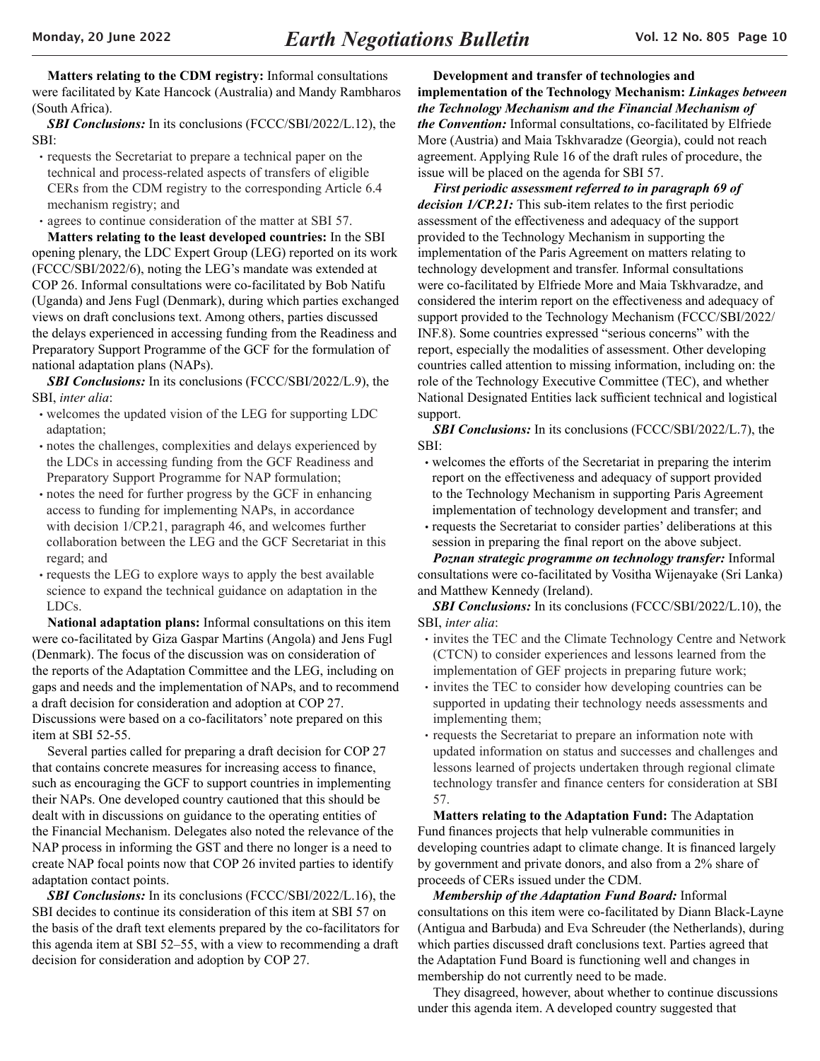**Matters relating to the CDM registry:** Informal consultations were facilitated by Kate Hancock (Australia) and Mandy Rambharos (South Africa).

**SBI Conclusions:** In its conclusions (FCCC/SBI/2022/L.12), the SBI:

• requests the Secretariat to prepare a technical paper on the technical and process-related aspects of transfers of eligible CERs from the CDM registry to the corresponding Article 6.4 mechanism registry; and

•agrees to continue consideration of the matter at SBI 57.

**Matters relating to the least developed countries:** In the SBI opening plenary, the LDC Expert Group (LEG) reported on its work (FCCC/SBI/2022/6), noting the LEG's mandate was extended at COP 26. Informal consultations were co-facilitated by Bob Natifu (Uganda) and Jens Fugl (Denmark), during which parties exchanged views on draft conclusions text. Among others, parties discussed the delays experienced in accessing funding from the Readiness and Preparatory Support Programme of the GCF for the formulation of national adaptation plans (NAPs).

*SBI Conclusions:* In its conclusions (FCCC/SBI/2022/L.9), the SBI, *inter alia*:

- welcomes the updated vision of the LEG for supporting LDC adaptation;
- notes the challenges, complexities and delays experienced by the LDCs in accessing funding from the GCF Readiness and Preparatory Support Programme for NAP formulation;
- notes the need for further progress by the GCF in enhancing access to funding for implementing NAPs, in accordance with decision  $1/CP.21$ , paragraph 46, and welcomes further collaboration between the LEG and the GCF Secretariat in this regard; and
- requests the LEG to explore ways to apply the best available science to expand the technical guidance on adaptation in the LDCs.

**National adaptation plans:** Informal consultations on this item were co-facilitated by Giza Gaspar Martins (Angola) and Jens Fugl (Denmark). The focus of the discussion was on consideration of the reports of the Adaptation Committee and the LEG, including on gaps and needs and the implementation of NAPs, and to recommend a draft decision for consideration and adoption at COP 27. Discussions were based on a co-facilitators' note prepared on this item at SBI 52-55.

Several parties called for preparing a draft decision for COP 27 that contains concrete measures for increasing access to finance, such as encouraging the GCF to support countries in implementing their NAPs. One developed country cautioned that this should be dealt with in discussions on guidance to the operating entities of the Financial Mechanism. Delegates also noted the relevance of the NAP process in informing the GST and there no longer is a need to create NAP focal points now that COP 26 invited parties to identify adaptation contact points.

*SBI Conclusions:* In its conclusions (FCCC/SBI/2022/L.16), the SBI decides to continue its consideration of this item at SBI 57 on the basis of the draft text elements prepared by the co-facilitators for this agenda item at SBI 52–55, with a view to recommending a draft decision for consideration and adoption by COP 27.

**Development and transfer of technologies and implementation of the Technology Mechanism:** *Linkages between the Technology Mechanism and the Financial Mechanism of the Convention:* Informal consultations, co-facilitated by Elfriede More (Austria) and Maia Tskhvaradze (Georgia), could not reach agreement. Applying Rule 16 of the draft rules of procedure, the issue will be placed on the agenda for SBI 57.

*First periodic assessment referred to in paragraph 69 of decision 1/CP.21:* This sub-item relates to the first periodic assessment of the effectiveness and adequacy of the support provided to the Technology Mechanism in supporting the implementation of the Paris Agreement on matters relating to technology development and transfer. Informal consultations were co-facilitated by Elfriede More and Maia Tskhvaradze, and considered the interim report on the effectiveness and adequacy of support provided to the Technology Mechanism (FCCC/SBI/2022/ INF.8). Some countries expressed "serious concerns" with the report, especially the modalities of assessment. Other developing countries called attention to missing information, including on: the role of the Technology Executive Committee (TEC), and whether National Designated Entities lack sufficient technical and logistical support.

**SBI Conclusions:** In its conclusions (FCCC/SBI/2022/L.7), the SBI:

- welcomes the efforts of the Secretariat in preparing the interim report on the effectiveness and adequacy of support provided to the Technology Mechanism in supporting Paris Agreement implementation of technology development and transfer; and
- requests the Secretariat to consider parties' deliberations at this session in preparing the final report on the above subject.

*Poznan strategic programme on technology transfer:* Informal consultations were co-facilitated by Vositha Wijenayake (Sri Lanka) and Matthew Kennedy (Ireland).

*SBI Conclusions:* In its conclusions (FCCC/SBI/2022/L.10), the SBI, *inter alia*:

- invites the TEC and the Climate Technology Centre and Network (CTCN) to consider experiences and lessons learned from the implementation of GEF projects in preparing future work;
- invites the TEC to consider how developing countries can be supported in updating their technology needs assessments and implementing them;
- requests the Secretariat to prepare an information note with updated information on status and successes and challenges and lessons learned of projects undertaken through regional climate technology transfer and finance centers for consideration at SBI 57.

**Matters relating to the Adaptation Fund:** The Adaptation Fund finances projects that help vulnerable communities in developing countries adapt to climate change. It is financed largely by government and private donors, and also from a 2% share of proceeds of CERs issued under the CDM.

*Membership of the Adaptation Fund Board:* Informal consultations on this item were co-facilitated by Diann Black-Layne (Antigua and Barbuda) and Eva Schreuder (the Netherlands), during which parties discussed draft conclusions text. Parties agreed that the Adaptation Fund Board is functioning well and changes in membership do not currently need to be made.

They disagreed, however, about whether to continue discussions under this agenda item. A developed country suggested that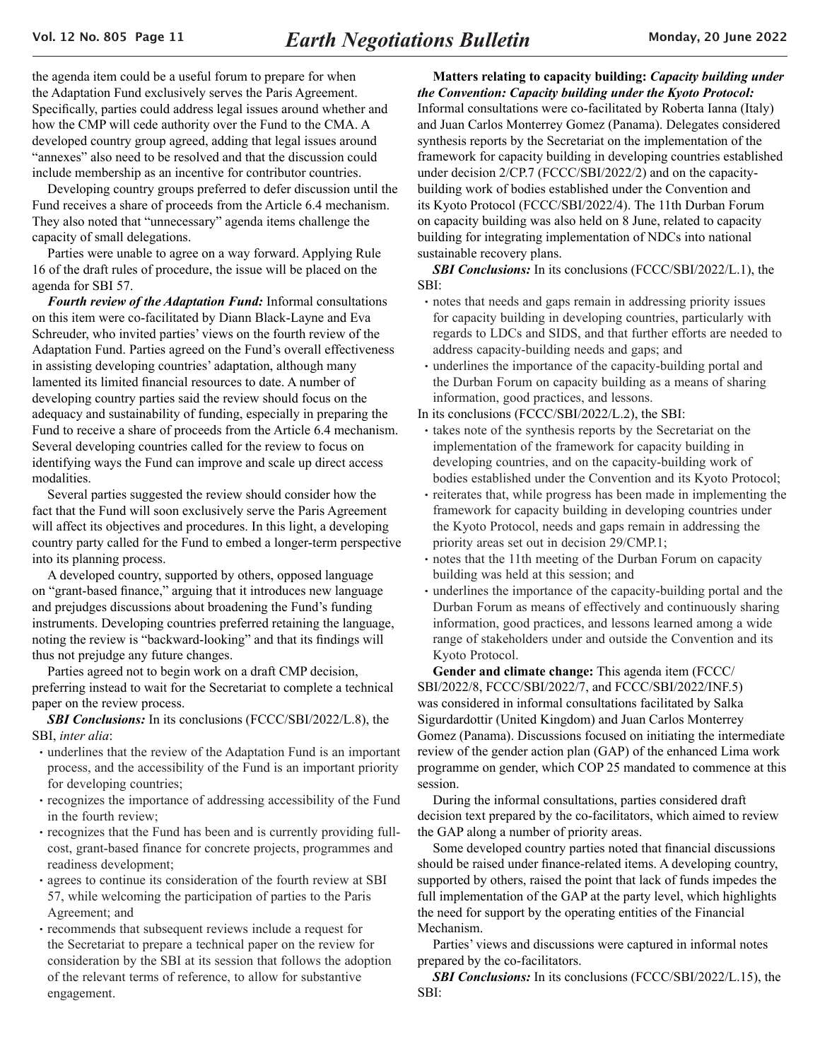the agenda item could be a useful forum to prepare for when the Adaptation Fund exclusively serves the Paris Agreement. Specifically, parties could address legal issues around whether and how the CMP will cede authority over the Fund to the CMA. A developed country group agreed, adding that legal issues around "annexes" also need to be resolved and that the discussion could include membership as an incentive for contributor countries.

Developing country groups preferred to defer discussion until the Fund receives a share of proceeds from the Article 6.4 mechanism. They also noted that "unnecessary" agenda items challenge the capacity of small delegations.

Parties were unable to agree on a way forward. Applying Rule 16 of the draft rules of procedure, the issue will be placed on the agenda for SBI 57.

*Fourth review of the Adaptation Fund:* Informal consultations on this item were co-facilitated by Diann Black-Layne and Eva Schreuder, who invited parties' views on the fourth review of the Adaptation Fund. Parties agreed on the Fund's overall effectiveness in assisting developing countries' adaptation, although many lamented its limited financial resources to date. A number of developing country parties said the review should focus on the adequacy and sustainability of funding, especially in preparing the Fund to receive a share of proceeds from the Article 6.4 mechanism. Several developing countries called for the review to focus on identifying ways the Fund can improve and scale up direct access modalities.

Several parties suggested the review should consider how the fact that the Fund will soon exclusively serve the Paris Agreement will affect its objectives and procedures. In this light, a developing country party called for the Fund to embed a longer-term perspective into its planning process.

A developed country, supported by others, opposed language on "grant-based finance," arguing that it introduces new language and prejudges discussions about broadening the Fund's funding instruments. Developing countries preferred retaining the language, noting the review is "backward-looking" and that its findings will thus not prejudge any future changes.

Parties agreed not to begin work on a draft CMP decision, preferring instead to wait for the Secretariat to complete a technical paper on the review process.

*SBI Conclusions:* In its conclusions (FCCC/SBI/2022/L.8), the SBI, *inter alia*:

- •underlines that the review of the Adaptation Fund is an important process, and the accessibility of the Fund is an important priority for developing countries;
- •recognizes the importance of addressing accessibility of the Fund in the fourth review;
- •recognizes that the Fund has been and is currently providing fullcost, grant-based finance for concrete projects, programmes and readiness development;
- agrees to continue its consideration of the fourth review at SBI 57, while welcoming the participation of parties to the Paris Agreement; and
- •recommends that subsequent reviews include a request for the Secretariat to prepare a technical paper on the review for consideration by the SBI at its session that follows the adoption of the relevant terms of reference, to allow for substantive engagement.

**Matters relating to capacity building:** *Capacity building under the Convention: Capacity building under the Kyoto Protocol:* Informal consultations were co-facilitated by Roberta Ianna (Italy) and Juan Carlos Monterrey Gomez (Panama). Delegates considered synthesis reports by the Secretariat on the implementation of the framework for capacity building in developing countries established under decision 2/CP.7 (FCCC/SBI/2022/2) and on the capacitybuilding work of bodies established under the Convention and its Kyoto Protocol (FCCC/SBI/2022/4). The 11th Durban Forum on capacity building was also held on 8 June, related to capacity building for integrating implementation of NDCs into national sustainable recovery plans.

*SBI Conclusions:* In its conclusions (FCCC/SBI/2022/L.1), the SBI:

- notes that needs and gaps remain in addressing priority issues for capacity building in developing countries, particularly with regards to LDCs and SIDS, and that further efforts are needed to address capacity-building needs and gaps; and
- underlines the importance of the capacity-building portal and the Durban Forum on capacity building as a means of sharing information, good practices, and lessons.
- In its conclusions (FCCC/SBI/2022/L.2), the SBI:
- takes note of the synthesis reports by the Secretariat on the implementation of the framework for capacity building in developing countries, and on the capacity-building work of bodies established under the Convention and its Kyoto Protocol;
- reiterates that, while progress has been made in implementing the framework for capacity building in developing countries under the Kyoto Protocol, needs and gaps remain in addressing the priority areas set out in decision 29/CMP.1;
- notes that the 11th meeting of the Durban Forum on capacity building was held at this session; and
- underlines the importance of the capacity-building portal and the Durban Forum as means of effectively and continuously sharing information, good practices, and lessons learned among a wide range of stakeholders under and outside the Convention and its Kyoto Protocol.

**Gender and climate change:** This agenda item (FCCC/ SBI/2022/8, FCCC/SBI/2022/7, and FCCC/SBI/2022/INF.5) was considered in informal consultations facilitated by Salka Sigurdardottir (United Kingdom) and Juan Carlos Monterrey Gomez (Panama). Discussions focused on initiating the intermediate review of the gender action plan (GAP) of the enhanced Lima work programme on gender, which COP 25 mandated to commence at this session.

During the informal consultations, parties considered draft decision text prepared by the co-facilitators, which aimed to review the GAP along a number of priority areas.

Some developed country parties noted that financial discussions should be raised under finance-related items. A developing country, supported by others, raised the point that lack of funds impedes the full implementation of the GAP at the party level, which highlights the need for support by the operating entities of the Financial Mechanism.

Parties' views and discussions were captured in informal notes prepared by the co-facilitators.

*SBI Conclusions:* In its conclusions (FCCC/SBI/2022/L.15), the SBI: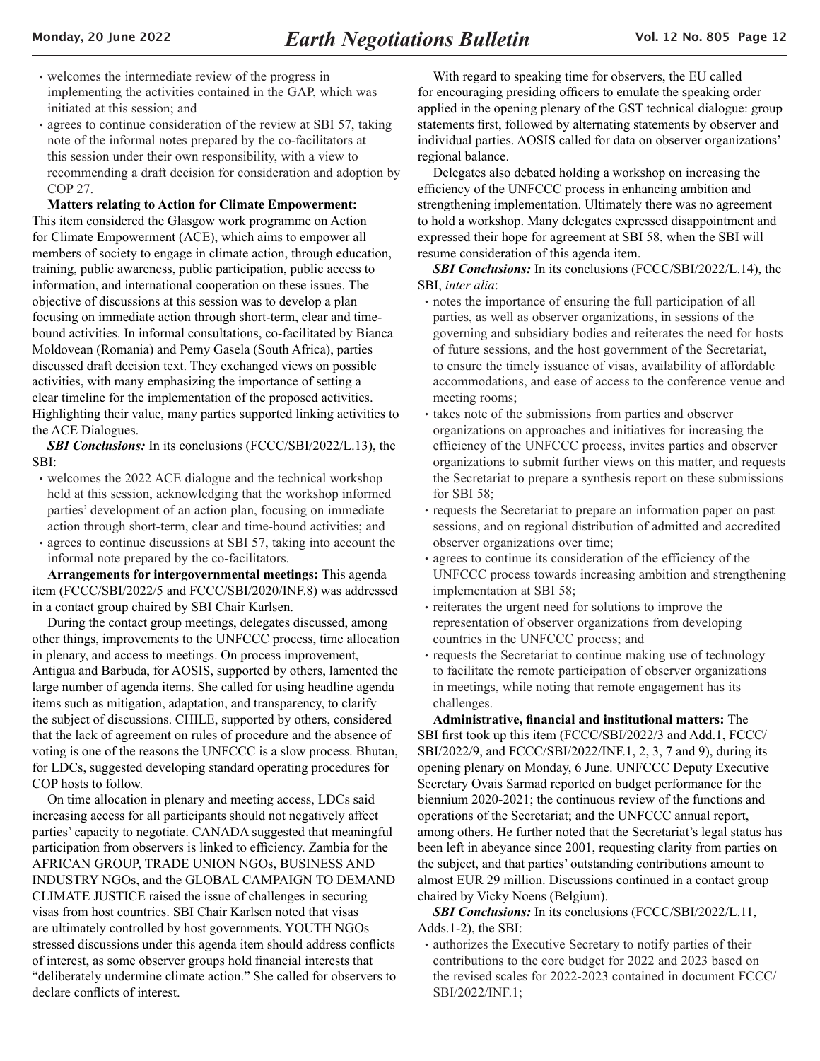- welcomes the intermediate review of the progress in implementing the activities contained in the GAP, which was initiated at this session; and
- •agrees to continue consideration of the review at SBI 57, taking note of the informal notes prepared by the co-facilitators at this session under their own responsibility, with a view to recommending a draft decision for consideration and adoption by COP 27.

**Matters relating to Action for Climate Empowerment:**  This item considered the Glasgow work programme on Action for Climate Empowerment (ACE), which aims to empower all members of society to engage in climate action, through education, training, public awareness, public participation, public access to information, and international cooperation on these issues. The objective of discussions at this session was to develop a plan focusing on immediate action through short-term, clear and timebound activities. In informal consultations, co-facilitated by Bianca Moldovean (Romania) and Pemy Gasela (South Africa), parties discussed draft decision text. They exchanged views on possible activities, with many emphasizing the importance of setting a clear timeline for the implementation of the proposed activities. Highlighting their value, many parties supported linking activities to the ACE Dialogues.

*SBI Conclusions:* In its conclusions (FCCC/SBI/2022/L.13), the SBI:

- welcomes the 2022 ACE dialogue and the technical workshop held at this session, acknowledging that the workshop informed parties' development of an action plan, focusing on immediate action through short-term, clear and time-bound activities; and
- •agrees to continue discussions at SBI 57, taking into account the informal note prepared by the co-facilitators.

**Arrangements for intergovernmental meetings:** This agenda item (FCCC/SBI/2022/5 and FCCC/SBI/2020/INF.8) was addressed in a contact group chaired by SBI Chair Karlsen.

During the contact group meetings, delegates discussed, among other things, improvements to the UNFCCC process, time allocation in plenary, and access to meetings. On process improvement, Antigua and Barbuda, for AOSIS, supported by others, lamented the large number of agenda items. She called for using headline agenda items such as mitigation, adaptation, and transparency, to clarify the subject of discussions. CHILE, supported by others, considered that the lack of agreement on rules of procedure and the absence of voting is one of the reasons the UNFCCC is a slow process. Bhutan, for LDCs, suggested developing standard operating procedures for COP hosts to follow.

On time allocation in plenary and meeting access, LDCs said increasing access for all participants should not negatively affect parties' capacity to negotiate. CANADA suggested that meaningful participation from observers is linked to efficiency. Zambia for the AFRICAN GROUP, TRADE UNION NGOs, BUSINESS AND INDUSTRY NGOs, and the GLOBAL CAMPAIGN TO DEMAND CLIMATE JUSTICE raised the issue of challenges in securing visas from host countries. SBI Chair Karlsen noted that visas are ultimately controlled by host governments. YOUTH NGOs stressed discussions under this agenda item should address conflicts of interest, as some observer groups hold financial interests that "deliberately undermine climate action." She called for observers to declare conflicts of interest.

With regard to speaking time for observers, the EU called for encouraging presiding officers to emulate the speaking order applied in the opening plenary of the GST technical dialogue: group statements first, followed by alternating statements by observer and individual parties. AOSIS called for data on observer organizations' regional balance.

Delegates also debated holding a workshop on increasing the efficiency of the UNFCCC process in enhancing ambition and strengthening implementation. Ultimately there was no agreement to hold a workshop. Many delegates expressed disappointment and expressed their hope for agreement at SBI 58, when the SBI will resume consideration of this agenda item.

*SBI Conclusions:* In its conclusions (FCCC/SBI/2022/L.14), the SBI, *inter alia*:

- notes the importance of ensuring the full participation of all parties, as well as observer organizations, in sessions of the governing and subsidiary bodies and reiterates the need for hosts of future sessions, and the host government of the Secretariat, to ensure the timely issuance of visas, availability of affordable accommodations, and ease of access to the conference venue and meeting rooms;
- takes note of the submissions from parties and observer organizations on approaches and initiatives for increasing the efficiency of the UNFCCC process, invites parties and observer organizations to submit further views on this matter, and requests the Secretariat to prepare a synthesis report on these submissions for SBI 58;
- requests the Secretariat to prepare an information paper on past sessions, and on regional distribution of admitted and accredited observer organizations over time;
- agrees to continue its consideration of the efficiency of the UNFCCC process towards increasing ambition and strengthening implementation at SBI 58;
- reiterates the urgent need for solutions to improve the representation of observer organizations from developing countries in the UNFCCC process; and
- requests the Secretariat to continue making use of technology to facilitate the remote participation of observer organizations in meetings, while noting that remote engagement has its challenges.

**Administrative, financial and institutional matters:** The SBI first took up this item (FCCC/SBI/2022/3 and Add.1, FCCC/ SBI/2022/9, and FCCC/SBI/2022/INF.1, 2, 3, 7 and 9), during its opening plenary on Monday, 6 June. UNFCCC Deputy Executive Secretary Ovais Sarmad reported on budget performance for the biennium 2020-2021; the continuous review of the functions and operations of the Secretariat; and the UNFCCC annual report, among others. He further noted that the Secretariat's legal status has been left in abeyance since 2001, requesting clarity from parties on the subject, and that parties' outstanding contributions amount to almost EUR 29 million. Discussions continued in a contact group chaired by Vicky Noens (Belgium).

*SBI Conclusions:* In its conclusions (FCCC/SBI/2022/L.11, Adds.1-2), the SBI:

• authorizes the Executive Secretary to notify parties of their contributions to the core budget for 2022 and 2023 based on the revised scales for 2022-2023 contained in document FCCC/ SBI/2022/INF.1;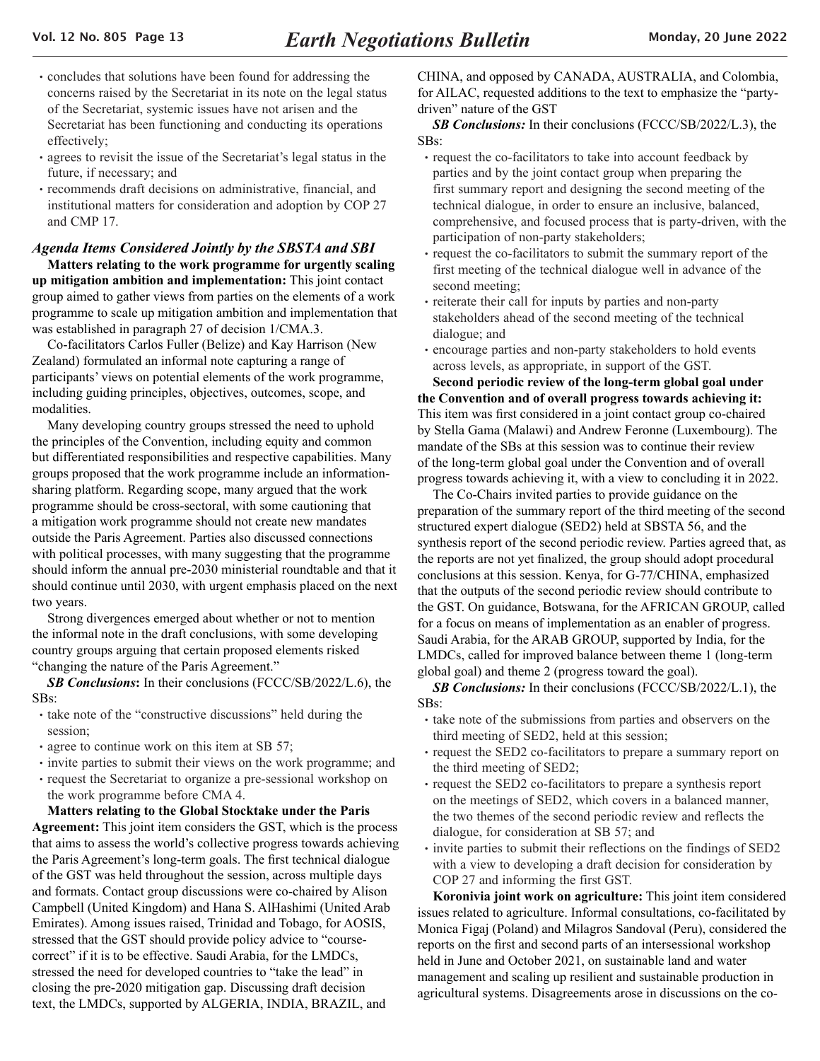- <span id="page-12-0"></span>•concludes that solutions have been found for addressing the concerns raised by the Secretariat in its note on the legal status of the Secretariat, systemic issues have not arisen and the Secretariat has been functioning and conducting its operations effectively;
- •agrees to revisit the issue of the Secretariat's legal status in the future, if necessary; and
- •recommends draft decisions on administrative, financial, and institutional matters for consideration and adoption by COP 27 and CMP 17.

*Agenda Items Considered Jointly by the SBSTA and SBI* **Matters relating to the work programme for urgently scaling up mitigation ambition and implementation:** This joint contact group aimed to gather views from parties on the elements of a work programme to scale up mitigation ambition and implementation that was established in paragraph 27 of decision 1/CMA.3.

Co-facilitators Carlos Fuller (Belize) and Kay Harrison (New Zealand) formulated an informal note capturing a range of participants' views on potential elements of the work programme, including guiding principles, objectives, outcomes, scope, and modalities.

Many developing country groups stressed the need to uphold the principles of the Convention, including equity and common but differentiated responsibilities and respective capabilities. Many groups proposed that the work programme include an informationsharing platform. Regarding scope, many argued that the work programme should be cross-sectoral, with some cautioning that a mitigation work programme should not create new mandates outside the Paris Agreement. Parties also discussed connections with political processes, with many suggesting that the programme should inform the annual pre-2030 ministerial roundtable and that it should continue until 2030, with urgent emphasis placed on the next two years.

Strong divergences emerged about whether or not to mention the informal note in the draft conclusions, with some developing country groups arguing that certain proposed elements risked "changing the nature of the Paris Agreement."

*SB Conclusions***:** In their conclusions (FCCC/SB/2022/L.6), the SBs:

- •take note of the "constructive discussions" held during the session;
- agree to continue work on this item at SB 57;
- invite parties to submit their views on the work programme; and
- •request the Secretariat to organize a pre-sessional workshop on the work programme before CMA 4.

**Matters relating to the Global Stocktake under the Paris Agreement:** This joint item considers the GST, which is the process that aims to assess the world's collective progress towards achieving the Paris Agreement's long-term goals. The first technical dialogue of the GST was held throughout the session, across multiple days and formats. Contact group discussions were co-chaired by Alison Campbell (United Kingdom) and Hana S. AlHashimi (United Arab Emirates). Among issues raised, Trinidad and Tobago, for AOSIS, stressed that the GST should provide policy advice to "coursecorrect" if it is to be effective. Saudi Arabia, for the LMDCs, stressed the need for developed countries to "take the lead" in closing the pre-2020 mitigation gap. Discussing draft decision text, the LMDCs, supported by ALGERIA, INDIA, BRAZIL, and

CHINA, and opposed by CANADA, AUSTRALIA, and Colombia, for AILAC, requested additions to the text to emphasize the "partydriven" nature of the GST

*SB Conclusions:* In their conclusions (FCCC/SB/2022/L.3), the SBs:

- request the co-facilitators to take into account feedback by parties and by the joint contact group when preparing the first summary report and designing the second meeting of the technical dialogue, in order to ensure an inclusive, balanced, comprehensive, and focused process that is party-driven, with the participation of non-party stakeholders;
- request the co-facilitators to submit the summary report of the first meeting of the technical dialogue well in advance of the second meeting;
- reiterate their call for inputs by parties and non-party stakeholders ahead of the second meeting of the technical dialogue; and
- encourage parties and non-party stakeholders to hold events across levels, as appropriate, in support of the GST.

**Second periodic review of the long-term global goal under the Convention and of overall progress towards achieving it:**  This item was first considered in a joint contact group co-chaired by Stella Gama (Malawi) and Andrew Feronne (Luxembourg). The mandate of the SBs at this session was to continue their review of the long-term global goal under the Convention and of overall progress towards achieving it, with a view to concluding it in 2022.

The Co-Chairs invited parties to provide guidance on the preparation of the summary report of the third meeting of the second structured expert dialogue (SED2) held at SBSTA 56, and the synthesis report of the second periodic review. Parties agreed that, as the reports are not yet finalized, the group should adopt procedural conclusions at this session. Kenya, for G-77/CHINA, emphasized that the outputs of the second periodic review should contribute to the GST. On guidance, Botswana, for the AFRICAN GROUP, called for a focus on means of implementation as an enabler of progress. Saudi Arabia, for the ARAB GROUP, supported by India, for the LMDCs, called for improved balance between theme 1 (long-term global goal) and theme 2 (progress toward the goal).

*SB Conclusions:* In their conclusions (FCCC/SB/2022/L.1), the SBs:

- take note of the submissions from parties and observers on the third meeting of SED2, held at this session;
- request the SED2 co-facilitators to prepare a summary report on the third meeting of SED2;
- request the SED2 co-facilitators to prepare a synthesis report on the meetings of SED2, which covers in a balanced manner, the two themes of the second periodic review and reflects the dialogue, for consideration at SB 57; and
- invite parties to submit their reflections on the findings of SED2 with a view to developing a draft decision for consideration by COP 27 and informing the first GST.

**Koronivia joint work on agriculture:** This joint item considered issues related to agriculture. Informal consultations, co-facilitated by Monica Figaj (Poland) and Milagros Sandoval (Peru), considered the reports on the first and second parts of an intersessional workshop held in June and October 2021, on sustainable land and water management and scaling up resilient and sustainable production in agricultural systems. Disagreements arose in discussions on the co-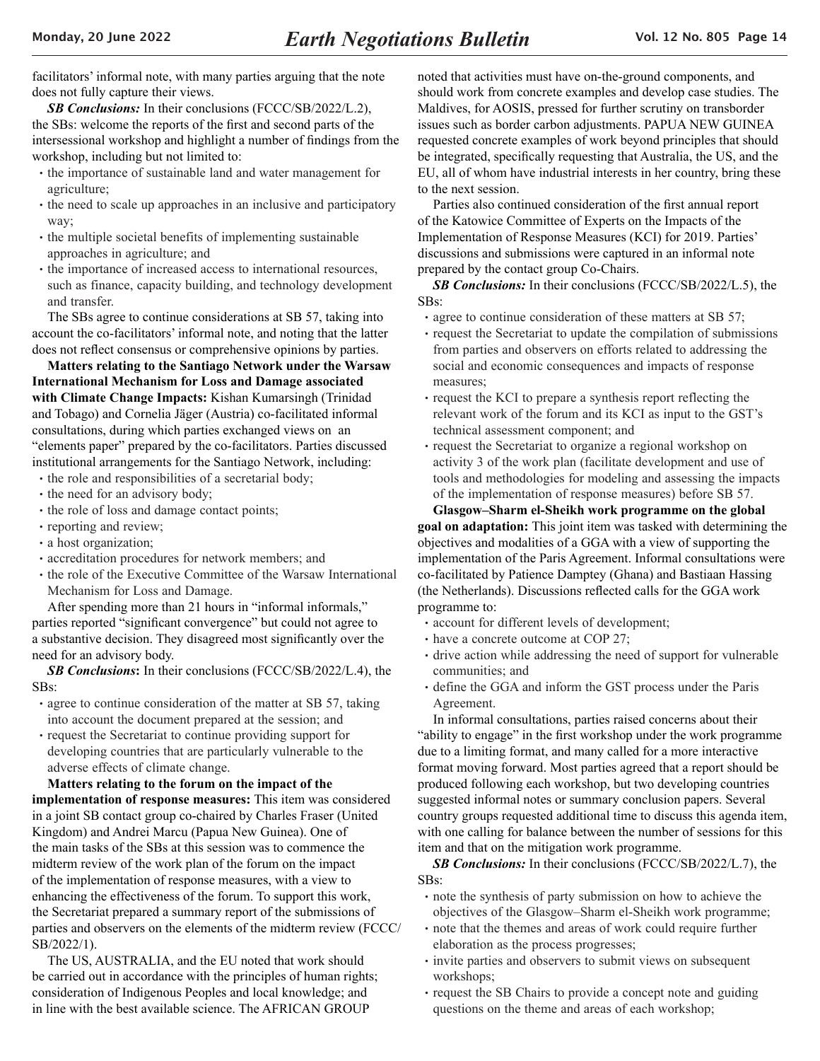facilitators' informal note, with many parties arguing that the note does not fully capture their views.

*SB Conclusions:* In their conclusions (FCCC/SB/2022/L.2), the SBs: welcome the reports of the first and second parts of the intersessional workshop and highlight a number of findings from the workshop, including but not limited to:

- the importance of sustainable land and water management for agriculture;
- the need to scale up approaches in an inclusive and participatory way;
- the multiple societal benefits of implementing sustainable approaches in agriculture; and
- the importance of increased access to international resources, such as finance, capacity building, and technology development and transfer.

The SBs agree to continue considerations at SB 57, taking into account the co-facilitators' informal note, and noting that the latter does not reflect consensus or comprehensive opinions by parties.

**Matters relating to the Santiago Network under the Warsaw International Mechanism for Loss and Damage associated with Climate Change Impacts:** Kishan Kumarsingh (Trinidad and Tobago) and Cornelia Jäger (Austria) co-facilitated informal consultations, during which parties exchanged views on an "elements paper" prepared by the co-facilitators. Parties discussed institutional arrangements for the Santiago Network, including:

- the role and responsibilities of a secretarial body;
- the need for an advisory body;
- the role of loss and damage contact points;
- reporting and review;
- •a host organization;
- •accreditation procedures for network members; and
- •the role of the Executive Committee of the Warsaw International Mechanism for Loss and Damage.

After spending more than 21 hours in "informal informals," parties reported "significant convergence" but could not agree to a substantive decision. They disagreed most significantly over the need for an advisory body.

*SB Conclusions***:** In their conclusions (FCCC/SB/2022/L.4), the SBs:

- agree to continue consideration of the matter at SB 57, taking into account the document prepared at the session; and
- request the Secretariat to continue providing support for developing countries that are particularly vulnerable to the adverse effects of climate change.

**Matters relating to the forum on the impact of the implementation of response measures:** This item was considered in a joint SB contact group co-chaired by Charles Fraser (United Kingdom) and Andrei Marcu (Papua New Guinea). One of the main tasks of the SBs at this session was to commence the midterm review of the work plan of the forum on the impact of the implementation of response measures, with a view to enhancing the effectiveness of the forum. To support this work, the Secretariat prepared a summary report of the submissions of parties and observers on the elements of the midterm review (FCCC/ SB/2022/1).

The US, AUSTRALIA, and the EU noted that work should be carried out in accordance with the principles of human rights; consideration of Indigenous Peoples and local knowledge; and in line with the best available science. The AFRICAN GROUP

noted that activities must have on-the-ground components, and should work from concrete examples and develop case studies. The Maldives, for AOSIS, pressed for further scrutiny on transborder issues such as border carbon adjustments. PAPUA NEW GUINEA requested concrete examples of work beyond principles that should be integrated, specifically requesting that Australia, the US, and the EU, all of whom have industrial interests in her country, bring these to the next session.

Parties also continued consideration of the first annual report of the Katowice Committee of Experts on the Impacts of the Implementation of Response Measures (KCI) for 2019. Parties' discussions and submissions were captured in an informal note prepared by the contact group Co-Chairs.

*SB Conclusions:* In their conclusions (FCCC/SB/2022/L.5), the SBs:

- agree to continue consideration of these matters at SB 57;
- request the Secretariat to update the compilation of submissions from parties and observers on efforts related to addressing the social and economic consequences and impacts of response measures;
- request the KCI to prepare a synthesis report reflecting the relevant work of the forum and its KCI as input to the GST's technical assessment component; and
- request the Secretariat to organize a regional workshop on activity 3 of the work plan (facilitate development and use of tools and methodologies for modeling and assessing the impacts of the implementation of response measures) before SB 57.

**Glasgow–Sharm el-Sheikh work programme on the global goal on adaptation:** This joint item was tasked with determining the objectives and modalities of a GGA with a view of supporting the implementation of the Paris Agreement. Informal consultations were co-facilitated by Patience Damptey (Ghana) and Bastiaan Hassing (the Netherlands). Discussions reflected calls for the GGA work programme to:

- account for different levels of development;
- have a concrete outcome at COP 27;
- drive action while addressing the need of support for vulnerable communities; and
- define the GGA and inform the GST process under the Paris Agreement.

In informal consultations, parties raised concerns about their "ability to engage" in the first workshop under the work programme due to a limiting format, and many called for a more interactive format moving forward. Most parties agreed that a report should be produced following each workshop, but two developing countries suggested informal notes or summary conclusion papers. Several country groups requested additional time to discuss this agenda item, with one calling for balance between the number of sessions for this item and that on the mitigation work programme.

*SB Conclusions:* In their conclusions (FCCC/SB/2022/L.7), the SBs:

- note the synthesis of party submission on how to achieve the objectives of the Glasgow–Sharm el-Sheikh work programme;
- note that the themes and areas of work could require further elaboration as the process progresses;
- invite parties and observers to submit views on subsequent workshops;
- request the SB Chairs to provide a concept note and guiding questions on the theme and areas of each workshop;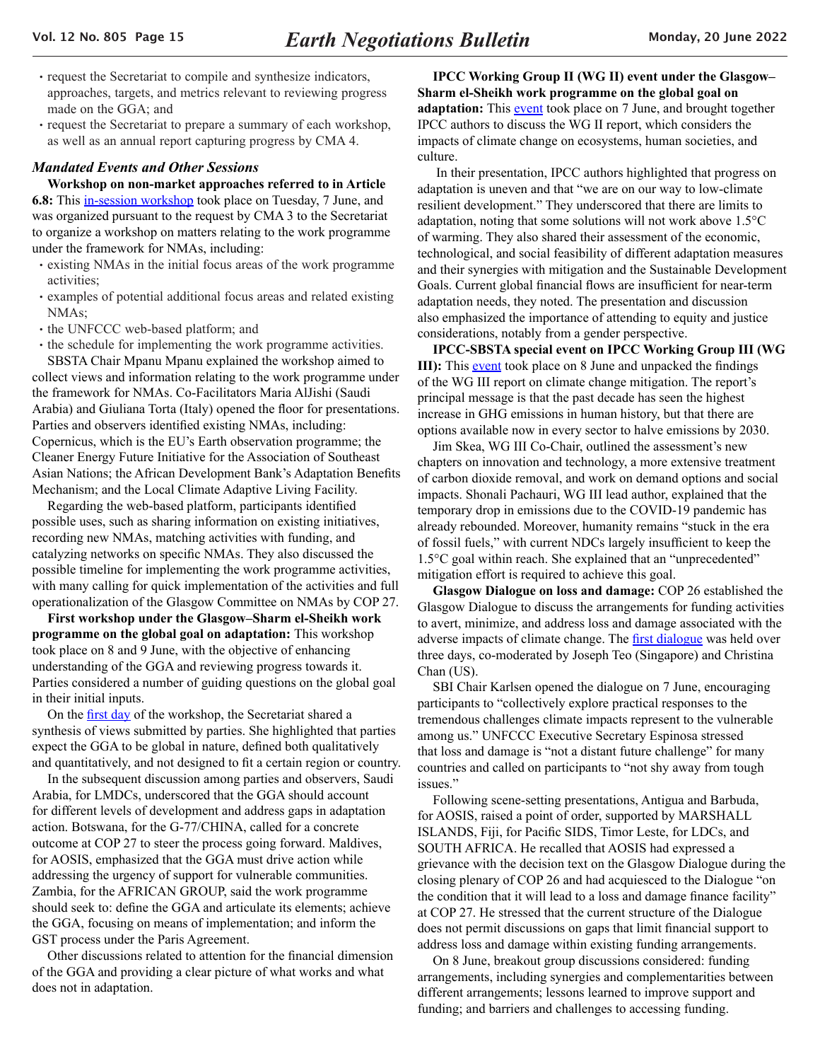- <span id="page-14-0"></span>• request the Secretariat to compile and synthesize indicators, approaches, targets, and metrics relevant to reviewing progress made on the GGA; and
- •request the Secretariat to prepare a summary of each workshop, as well as an annual report capturing progress by CMA 4.

#### *Mandated Events and Other Sessions*

**Workshop on non-market approaches referred to in Article 6.8:** This [in-session workshop](https://unfccc.int/event/in-session-workshop-under-article-6-paragraph-8-of-the-paris-agreement) took place on Tuesday, 7 June, and was organized pursuant to the request by CMA 3 to the Secretariat to organize a workshop on matters relating to the work programme under the framework for NMAs, including:

- existing NMAs in the initial focus areas of the work programme activities;
- •examples of potential additional focus areas and related existing NMAs;
- •the UNFCCC web-based platform; and
- the schedule for implementing the work programme activities.

SBSTA Chair Mpanu Mpanu explained the workshop aimed to collect views and information relating to the work programme under the framework for NMAs. Co-Facilitators Maria AlJishi (Saudi Arabia) and Giuliana Torta (Italy) opened the floor for presentations. Parties and observers identified existing NMAs, including: Copernicus, which is the EU's Earth observation programme; the Cleaner Energy Future Initiative for the Association of Southeast Asian Nations; the African Development Bank's Adaptation Benefits Mechanism; and the Local Climate Adaptive Living Facility.

Regarding the web-based platform, participants identified possible uses, such as sharing information on existing initiatives, recording new NMAs, matching activities with funding, and catalyzing networks on specific NMAs. They also discussed the possible timeline for implementing the work programme activities, with many calling for quick implementation of the activities and full operationalization of the Glasgow Committee on NMAs by COP 27.

**First workshop under the Glasgow–Sharm el-Sheikh work programme on the global goal on adaptation:** This workshop took place on 8 and 9 June, with the objective of enhancing understanding of the GGA and reviewing progress towards it. Parties considered a number of guiding questions on the global goal in their initial inputs.

On the [first day](https://unfccc.int/event/first-workshop-under-the-glasgow-sharm-el-sheikh-work-programme-on-the-global-goal-on-adaptation-day) of the workshop, the Secretariat shared a synthesis of views submitted by parties. She highlighted that parties expect the GGA to be global in nature, defined both qualitatively and quantitatively, and not designed to fit a certain region or country.

In the subsequent discussion among parties and observers, Saudi Arabia, for LMDCs, underscored that the GGA should account for different levels of development and address gaps in adaptation action. Botswana, for the G-77/CHINA, called for a concrete outcome at COP 27 to steer the process going forward. Maldives, for AOSIS, emphasized that the GGA must drive action while addressing the urgency of support for vulnerable communities. Zambia, for the AFRICAN GROUP, said the work programme should seek to: define the GGA and articulate its elements; achieve the GGA, focusing on means of implementation; and inform the GST process under the Paris Agreement.

Other discussions related to attention for the financial dimension of the GGA and providing a clear picture of what works and what does not in adaptation.

**IPCC Working Group II (WG II) event under the Glasgow– Sharm el-Sheikh work programme on the global goal on**  adaptation: This **event** took place on 7 June, and brought together IPCC authors to discuss the WG II report, which considers the impacts of climate change on ecosystems, human societies, and culture.

In their presentation, IPCC authors highlighted that progress on adaptation is uneven and that "we are on our way to low-climate resilient development." They underscored that there are limits to adaptation, noting that some solutions will not work above 1.5°C of warming. They also shared their assessment of the economic, technological, and social feasibility of different adaptation measures and their synergies with mitigation and the Sustainable Development Goals. Current global financial flows are insufficient for near-term adaptation needs, they noted. The presentation and discussion also emphasized the importance of attending to equity and justice considerations, notably from a gender perspective.

**IPCC-SBSTA special event on IPCC Working Group III (WG III):** This **[event](https://unfccc.int/event/ipcc-sbsta-special-event-on-working-group-iii)** took place on 8 June and unpacked the findings of the WG III report on climate change mitigation. The report's principal message is that the past decade has seen the highest increase in GHG emissions in human history, but that there are options available now in every sector to halve emissions by 2030.

Jim Skea, WG III Co-Chair, outlined the assessment's new chapters on innovation and technology, a more extensive treatment of carbon dioxide removal, and work on demand options and social impacts. Shonali Pachauri, WG III lead author, explained that the temporary drop in emissions due to the COVID-19 pandemic has already rebounded. Moreover, humanity remains "stuck in the era of fossil fuels," with current NDCs largely insufficient to keep the 1.5°C goal within reach. She explained that an "unprecedented" mitigation effort is required to achieve this goal.

**Glasgow Dialogue on loss and damage:** COP 26 established the Glasgow Dialogue to discuss the arrangements for funding activities to avert, minimize, and address loss and damage associated with the adverse impacts of climate change. The [first dialogue](https://unfccc.int/event/glasgow-dialogue) was held over three days, co-moderated by Joseph Teo (Singapore) and Christina Chan (US).

SBI Chair Karlsen opened the dialogue on 7 June, encouraging participants to "collectively explore practical responses to the tremendous challenges climate impacts represent to the vulnerable among us." UNFCCC Executive Secretary Espinosa stressed that loss and damage is "not a distant future challenge" for many countries and called on participants to "not shy away from tough issues."

Following scene-setting presentations, Antigua and Barbuda, for AOSIS, raised a point of order, supported by MARSHALL ISLANDS, Fiji, for Pacific SIDS, Timor Leste, for LDCs, and SOUTH AFRICA. He recalled that AOSIS had expressed a grievance with the decision text on the Glasgow Dialogue during the closing plenary of COP 26 and had acquiesced to the Dialogue "on the condition that it will lead to a loss and damage finance facility" at COP 27. He stressed that the current structure of the Dialogue does not permit discussions on gaps that limit financial support to address loss and damage within existing funding arrangements.

On 8 June, breakout group discussions considered: funding arrangements, including synergies and complementarities between different arrangements; lessons learned to improve support and funding; and barriers and challenges to accessing funding.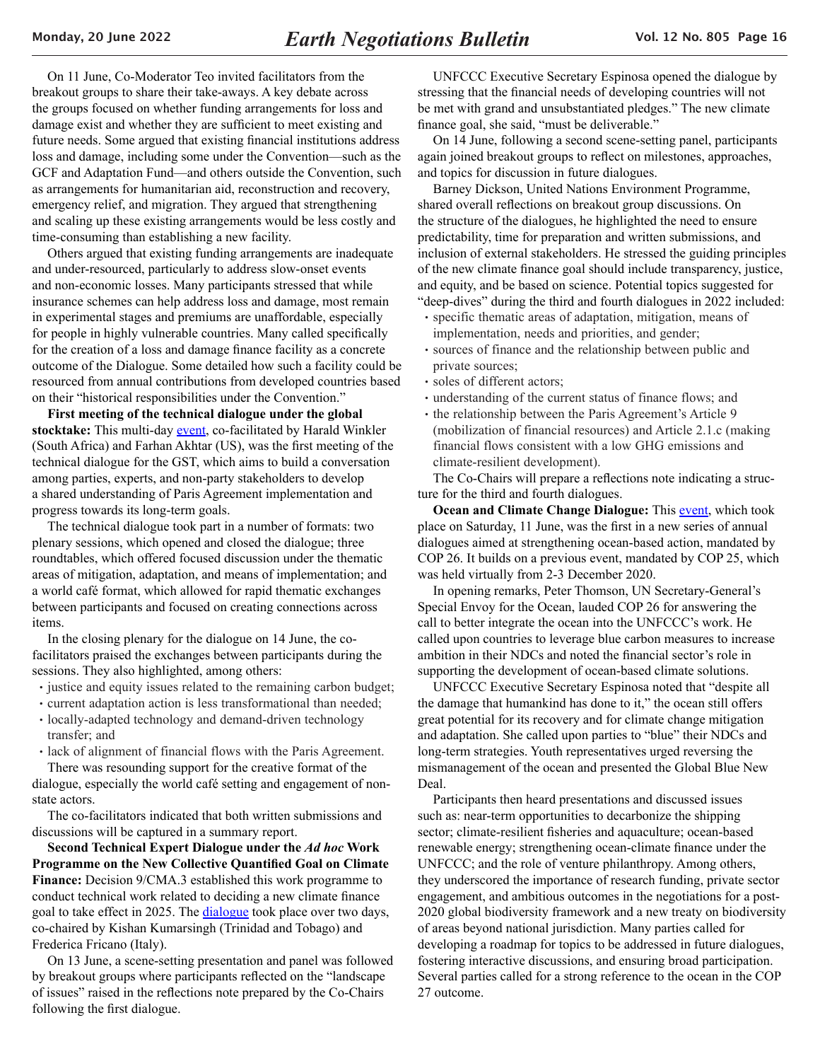On 11 June, Co-Moderator Teo invited facilitators from the breakout groups to share their take-aways. A key debate across the groups focused on whether funding arrangements for loss and damage exist and whether they are sufficient to meet existing and future needs. Some argued that existing financial institutions address loss and damage, including some under the Convention—such as the GCF and Adaptation Fund—and others outside the Convention, such as arrangements for humanitarian aid, reconstruction and recovery, emergency relief, and migration. They argued that strengthening and scaling up these existing arrangements would be less costly and time-consuming than establishing a new facility.

Others argued that existing funding arrangements are inadequate and under-resourced, particularly to address slow-onset events and non-economic losses. Many participants stressed that while insurance schemes can help address loss and damage, most remain in experimental stages and premiums are unaffordable, especially for people in highly vulnerable countries. Many called specifically for the creation of a loss and damage finance facility as a concrete outcome of the Dialogue. Some detailed how such a facility could be resourced from annual contributions from developed countries based on their "historical responsibilities under the Convention."

**First meeting of the technical dialogue under the global stocktake:** This multi-day [event,](https://unfccc.int/topics/global-stocktake/components-of-the-gst/the-technical-dialogues-of-the-global-stocktake) co-facilitated by Harald Winkler (South Africa) and Farhan Akhtar (US), was the first meeting of the technical dialogue for the GST, which aims to build a conversation among parties, experts, and non-party stakeholders to develop a shared understanding of Paris Agreement implementation and progress towards its long-term goals.

The technical dialogue took part in a number of formats: two plenary sessions, which opened and closed the dialogue; three roundtables, which offered focused discussion under the thematic areas of mitigation, adaptation, and means of implementation; and a world café format, which allowed for rapid thematic exchanges between participants and focused on creating connections across items.

In the closing plenary for the dialogue on 14 June, the cofacilitators praised the exchanges between participants during the sessions. They also highlighted, among others:

- justice and equity issues related to the remaining carbon budget;
- current adaptation action is less transformational than needed;
- •locally-adapted technology and demand-driven technology transfer; and
- •lack of alignment of financial flows with the Paris Agreement. There was resounding support for the creative format of the

dialogue, especially the world café setting and engagement of nonstate actors.

The co-facilitators indicated that both written submissions and discussions will be captured in a summary report.

**Second Technical Expert Dialogue under the** *Ad hoc* **Work Programme on the New Collective Quantified Goal on Climate Finance:** Decision 9/CMA.3 established this work programme to conduct technical work related to deciding a new climate finance goal to take effect in 2025. The [dialogue](https://unfccc.int/event/second-technical-expert-dialogue-under-the-ad-hoc-work-programme-on-the-new-collective-quantified) took place over two days, co-chaired by Kishan Kumarsingh (Trinidad and Tobago) and Frederica Fricano (Italy).

On 13 June, a scene-setting presentation and panel was followed by breakout groups where participants reflected on the "landscape of issues" raised in the reflections note prepared by the Co-Chairs following the first dialogue.

UNFCCC Executive Secretary Espinosa opened the dialogue by stressing that the financial needs of developing countries will not be met with grand and unsubstantiated pledges." The new climate finance goal, she said, "must be deliverable."

On 14 June, following a second scene-setting panel, participants again joined breakout groups to reflect on milestones, approaches, and topics for discussion in future dialogues.

Barney Dickson, United Nations Environment Programme, shared overall reflections on breakout group discussions. On the structure of the dialogues, he highlighted the need to ensure predictability, time for preparation and written submissions, and inclusion of external stakeholders. He stressed the guiding principles of the new climate finance goal should include transparency, justice, and equity, and be based on science. Potential topics suggested for "deep-dives" during the third and fourth dialogues in 2022 included:

- specific thematic areas of adaptation, mitigation, means of implementation, needs and priorities, and gender;
- sources of finance and the relationship between public and private sources;
- soles of different actors;
- understanding of the current status of finance flows; and
- the relationship between the Paris Agreement's Article 9 (mobilization of financial resources) and Article 2.1.c (making financial flows consistent with a low GHG emissions and climate-resilient development).

The Co-Chairs will prepare a reflections note indicating a structure for the third and fourth dialogues.

**Ocean and Climate Change Dialogue: This [event](https://unfccc.int/event/ocean-and-climate-change-dialogue-0), which took** place on Saturday, 11 June, was the first in a new series of annual dialogues aimed at strengthening ocean-based action, mandated by COP 26. It builds on a [previous event](https://unfccc.int/event/ocean-and-climate-change-dialogue-to-consider-how-to-strengthen-adaptation-and-mitigation-action), mandated by COP 25, which was held virtually from 2-3 December 2020.

In opening remarks, Peter Thomson, UN Secretary-General's Special Envoy for the Ocean, lauded COP 26 for answering the call to better integrate the ocean into the UNFCCC's work. He called upon countries to leverage blue carbon measures to increase ambition in their NDCs and noted the financial sector's role in supporting the development of ocean-based climate solutions.

UNFCCC Executive Secretary Espinosa noted that "despite all the damage that humankind has done to it," the ocean still offers great potential for its recovery and for climate change mitigation and adaptation. She called upon parties to "blue" their NDCs and long-term strategies. Youth representatives urged reversing the mismanagement of the ocean and presented the Global Blue New Deal.

Participants then heard presentations and discussed issues such as: near-term opportunities to decarbonize the shipping sector; climate-resilient fisheries and aquaculture; ocean-based renewable energy; strengthening ocean-climate finance under the UNFCCC; and the role of venture philanthropy. Among others, they underscored the importance of research funding, private sector engagement, and ambitious outcomes in the negotiations for a post-2020 global biodiversity framework and a new treaty on biodiversity of areas beyond national jurisdiction. Many parties called for developing a roadmap for topics to be addressed in future dialogues, fostering interactive discussions, and ensuring broad participation. Several parties called for a strong reference to the ocean in the COP 27 outcome.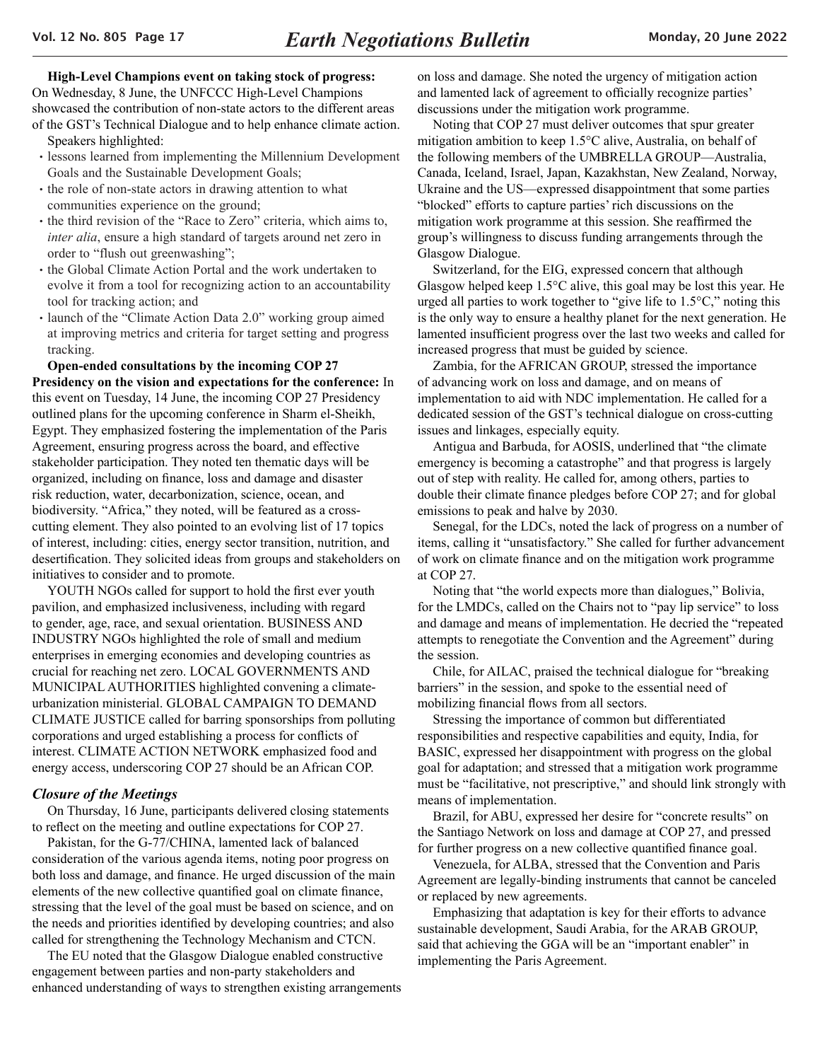<span id="page-16-0"></span>**High-Level Champions event on taking stock of progress:** On Wednesday, 8 June, the UNFCCC High-Level Champions showcased the contribution of non-state actors to the different areas of the GST's Technical Dialogue and to help enhance climate action.

- Speakers highlighted:
- •lessons learned from implementing the Millennium Development Goals and the Sustainable Development Goals;
- the role of non-state actors in drawing attention to what communities experience on the ground;
- •the third revision of the "Race to Zero" criteria, which aims to, *inter alia*, ensure a high standard of targets around net zero in order to "flush out greenwashing";
- •the Global Climate Action Portal and the work undertaken to evolve it from a tool for recognizing action to an accountability tool for tracking action; and
- •launch of the "Climate Action Data 2.0" working group aimed at improving metrics and criteria for target setting and progress tracking.

**Open-ended consultations by the incoming COP 27 Presidency on the vision and expectations for the conference:** In this event on Tuesday, 14 June, the incoming COP 27 Presidency outlined plans for the upcoming conference in Sharm el-Sheikh, Egypt. They emphasized fostering the implementation of the Paris Agreement, ensuring progress across the board, and effective stakeholder participation. They noted ten thematic days will be organized, including on finance, loss and damage and disaster risk reduction, water, decarbonization, science, ocean, and biodiversity. "Africa," they noted, will be featured as a crosscutting element. They also pointed to an evolving list of 17 topics of interest, including: cities, energy sector transition, nutrition, and desertification. They solicited ideas from groups and stakeholders on initiatives to consider and to promote.

YOUTH NGOs called for support to hold the first ever youth pavilion, and emphasized inclusiveness, including with regard to gender, age, race, and sexual orientation. BUSINESS AND INDUSTRY NGOs highlighted the role of small and medium enterprises in emerging economies and developing countries as crucial for reaching net zero. LOCAL GOVERNMENTS AND MUNICIPAL AUTHORITIES highlighted convening a climateurbanization ministerial. GLOBAL CAMPAIGN TO DEMAND CLIMATE JUSTICE called for barring sponsorships from polluting corporations and urged establishing a process for conflicts of interest. CLIMATE ACTION NETWORK emphasized food and energy access, underscoring COP 27 should be an African COP.

## *Closure of the Meetings*

On Thursday, 16 June, participants delivered closing statements to reflect on the meeting and outline expectations for COP 27.

Pakistan, for the G-77/CHINA, lamented lack of balanced consideration of the various agenda items, noting poor progress on both loss and damage, and finance. He urged discussion of the main elements of the new collective quantified goal on climate finance, stressing that the level of the goal must be based on science, and on the needs and priorities identified by developing countries; and also called for strengthening the Technology Mechanism and CTCN.

The EU noted that the Glasgow Dialogue enabled constructive engagement between parties and non-party stakeholders and enhanced understanding of ways to strengthen existing arrangements on loss and damage. She noted the urgency of mitigation action and lamented lack of agreement to officially recognize parties' discussions under the mitigation work programme.

Noting that COP 27 must deliver outcomes that spur greater mitigation ambition to keep 1.5°C alive, Australia, on behalf of the following members of the UMBRELLA GROUP—Australia, Canada, Iceland, Israel, Japan, Kazakhstan, New Zealand, Norway, Ukraine and the US—expressed disappointment that some parties "blocked" efforts to capture parties' rich discussions on the mitigation work programme at this session. She reaffirmed the group's willingness to discuss funding arrangements through the Glasgow Dialogue.

Switzerland, for the EIG, expressed concern that although Glasgow helped keep 1.5°C alive, this goal may be lost this year. He urged all parties to work together to "give life to 1.5°C," noting this is the only way to ensure a healthy planet for the next generation. He lamented insufficient progress over the last two weeks and called for increased progress that must be guided by science.

Zambia, for the AFRICAN GROUP, stressed the importance of advancing work on loss and damage, and on means of implementation to aid with NDC implementation. He called for a dedicated session of the GST's technical dialogue on cross-cutting issues and linkages, especially equity.

Antigua and Barbuda, for AOSIS, underlined that "the climate emergency is becoming a catastrophe" and that progress is largely out of step with reality. He called for, among others, parties to double their climate finance pledges before COP 27; and for global emissions to peak and halve by 2030.

Senegal, for the LDCs, noted the lack of progress on a number of items, calling it "unsatisfactory." She called for further advancement of work on climate finance and on the mitigation work programme at COP 27.

Noting that "the world expects more than dialogues," Bolivia, for the LMDCs, called on the Chairs not to "pay lip service" to loss and damage and means of implementation. He decried the "repeated attempts to renegotiate the Convention and the Agreement" during the session.

Chile, for AILAC, praised the technical dialogue for "breaking barriers" in the session, and spoke to the essential need of mobilizing financial flows from all sectors.

Stressing the importance of common but differentiated responsibilities and respective capabilities and equity, India, for BASIC, expressed her disappointment with progress on the global goal for adaptation; and stressed that a mitigation work programme must be "facilitative, not prescriptive," and should link strongly with means of implementation.

Brazil, for ABU, expressed her desire for "concrete results" on the Santiago Network on loss and damage at COP 27, and pressed for further progress on a new collective quantified finance goal.

Venezuela, for ALBA, stressed that the Convention and Paris Agreement are legally-binding instruments that cannot be canceled or replaced by new agreements.

Emphasizing that adaptation is key for their efforts to advance sustainable development, Saudi Arabia, for the ARAB GROUP, said that achieving the GGA will be an "important enabler" in implementing the Paris Agreement.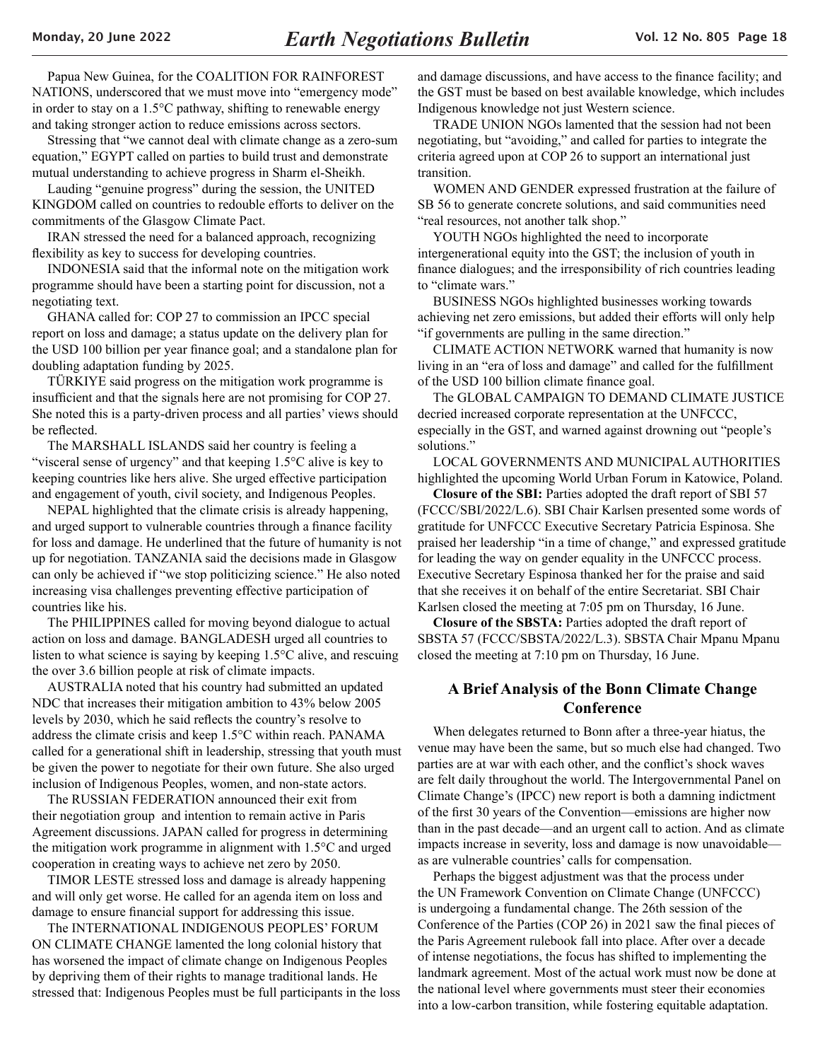<span id="page-17-0"></span>Papua New Guinea, for the COALITION FOR RAINFOREST NATIONS, underscored that we must move into "emergency mode" in order to stay on a 1.5°C pathway, shifting to renewable energy and taking stronger action to reduce emissions across sectors.

Stressing that "we cannot deal with climate change as a zero-sum equation," EGYPT called on parties to build trust and demonstrate mutual understanding to achieve progress in Sharm el-Sheikh.

Lauding "genuine progress" during the session, the UNITED KINGDOM called on countries to redouble efforts to deliver on the commitments of the Glasgow Climate Pact.

IRAN stressed the need for a balanced approach, recognizing flexibility as key to success for developing countries.

INDONESIA said that the informal note on the mitigation work programme should have been a starting point for discussion, not a negotiating text.

GHANA called for: COP 27 to commission an IPCC special report on loss and damage; a status update on the delivery plan for the USD 100 billion per year finance goal; and a standalone plan for doubling adaptation funding by 2025.

TÜRKIYE said progress on the mitigation work programme is insufficient and that the signals here are not promising for COP 27. She noted this is a party-driven process and all parties' views should be reflected.

The MARSHALL ISLANDS said her country is feeling a "visceral sense of urgency" and that keeping 1.5°C alive is key to keeping countries like hers alive. She urged effective participation and engagement of youth, civil society, and Indigenous Peoples.

NEPAL highlighted that the climate crisis is already happening, and urged support to vulnerable countries through a finance facility for loss and damage. He underlined that the future of humanity is not up for negotiation. TANZANIA said the decisions made in Glasgow can only be achieved if "we stop politicizing science." He also noted increasing visa challenges preventing effective participation of countries like his.

The PHILIPPINES called for moving beyond dialogue to actual action on loss and damage. BANGLADESH urged all countries to listen to what science is saying by keeping 1.5°C alive, and rescuing the over 3.6 billion people at risk of climate impacts.

AUSTRALIA noted that his country had submitted an updated NDC that increases their mitigation ambition to 43% below 2005 levels by 2030, which he said reflects the country's resolve to address the climate crisis and keep 1.5°C within reach. PANAMA called for a generational shift in leadership, stressing that youth must be given the power to negotiate for their own future. She also urged inclusion of Indigenous Peoples, women, and non-state actors.

The RUSSIAN FEDERATION announced their exit from their negotiation group and intention to remain active in Paris Agreement discussions. JAPAN called for progress in determining the mitigation work programme in alignment with 1.5°C and urged cooperation in creating ways to achieve net zero by 2050.

TIMOR LESTE stressed loss and damage is already happening and will only get worse. He called for an agenda item on loss and damage to ensure financial support for addressing this issue.

The INTERNATIONAL INDIGENOUS PEOPLES' FORUM ON CLIMATE CHANGE lamented the long colonial history that has worsened the impact of climate change on Indigenous Peoples by depriving them of their rights to manage traditional lands. He stressed that: Indigenous Peoples must be full participants in the loss and damage discussions, and have access to the finance facility; and the GST must be based on best available knowledge, which includes Indigenous knowledge not just Western science.

TRADE UNION NGOs lamented that the session had not been negotiating, but "avoiding," and called for parties to integrate the criteria agreed upon at COP 26 to support an international just transition.

WOMEN AND GENDER expressed frustration at the failure of SB 56 to generate concrete solutions, and said communities need "real resources, not another talk shop."

YOUTH NGOs highlighted the need to incorporate intergenerational equity into the GST; the inclusion of youth in finance dialogues; and the irresponsibility of rich countries leading to "climate wars."

BUSINESS NGOs highlighted businesses working towards achieving net zero emissions, but added their efforts will only help "if governments are pulling in the same direction."

CLIMATE ACTION NETWORK warned that humanity is now living in an "era of loss and damage" and called for the fulfillment of the USD 100 billion climate finance goal.

The GLOBAL CAMPAIGN TO DEMAND CLIMATE JUSTICE decried increased corporate representation at the UNFCCC, especially in the GST, and warned against drowning out "people's solutions."

LOCAL GOVERNMENTS AND MUNICIPAL AUTHORITIES highlighted the upcoming World Urban Forum in Katowice, Poland.

**Closure of the SBI:** Parties adopted the draft report of SBI 57 (FCCC/SBI/2022/L.6). SBI Chair Karlsen presented some words of gratitude for UNFCCC Executive Secretary Patricia Espinosa. She praised her leadership "in a time of change," and expressed gratitude for leading the way on gender equality in the UNFCCC process. Executive Secretary Espinosa thanked her for the praise and said that she receives it on behalf of the entire Secretariat. SBI Chair Karlsen closed the meeting at 7:05 pm on Thursday, 16 June.

**Closure of the SBSTA:** Parties adopted the draft report of SBSTA 57 (FCCC/SBSTA/2022/L.3). SBSTA Chair Mpanu Mpanu closed the meeting at 7:10 pm on Thursday, 16 June.

# **A Brief Analysis of the Bonn Climate Change Conference**

When delegates returned to Bonn after a three-year hiatus, the venue may have been the same, but so much else had changed. Two parties are at war with each other, and the conflict's shock waves are felt daily throughout the world. The Intergovernmental Panel on Climate Change's (IPCC) new report is both a damning indictment of the first 30 years of the Convention—emissions are higher now than in the past decade—and an urgent call to action. And as climate impacts increase in severity, loss and damage is now unavoidable as are vulnerable countries' calls for compensation.

Perhaps the biggest adjustment was that the process under the UN Framework Convention on Climate Change (UNFCCC) is undergoing a fundamental change. The 26th session of the Conference of the Parties (COP 26) in 2021 saw the final pieces of the Paris Agreement rulebook fall into place. After over a decade of intense negotiations, the focus has shifted to implementing the landmark agreement. Most of the actual work must now be done at the national level where governments must steer their economies into a low-carbon transition, while fostering equitable adaptation.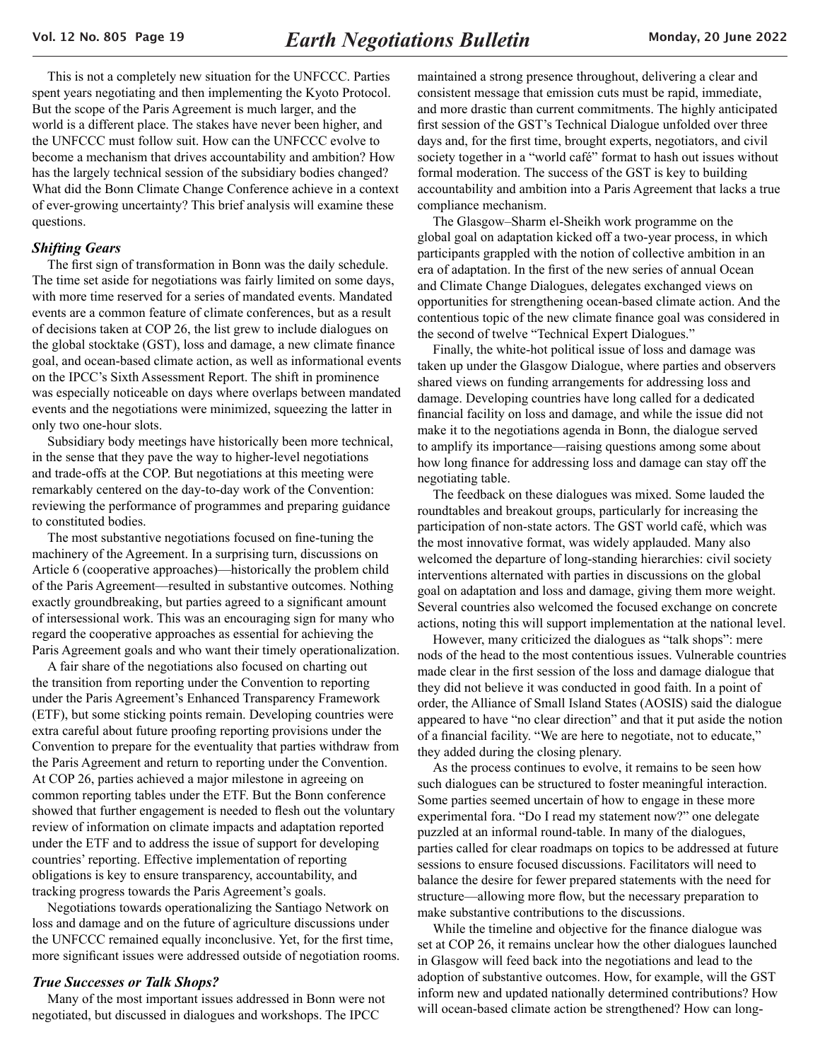This is not a completely new situation for the UNFCCC. Parties spent years negotiating and then implementing the Kyoto Protocol. But the scope of the Paris Agreement is much larger, and the world is a different place. The stakes have never been higher, and the UNFCCC must follow suit. How can the UNFCCC evolve to become a mechanism that drives accountability and ambition? How has the largely technical session of the subsidiary bodies changed? What did the Bonn Climate Change Conference achieve in a context of ever-growing uncertainty? This brief analysis will examine these questions.

#### *Shifting Gears*

The first sign of transformation in Bonn was the daily schedule. The time set aside for negotiations was fairly limited on some days, with more time reserved for a series of mandated events. Mandated events are a common feature of climate conferences, but as a result of decisions taken at COP 26, the list grew to include dialogues on the global stocktake (GST), loss and damage, a new climate finance goal, and ocean-based climate action, as well as informational events on the IPCC's Sixth Assessment Report. The shift in prominence was especially noticeable on days where overlaps between mandated events and the negotiations were minimized, squeezing the latter in only two one-hour slots.

Subsidiary body meetings have historically been more technical, in the sense that they pave the way to higher-level negotiations and trade-offs at the COP. But negotiations at this meeting were remarkably centered on the day-to-day work of the Convention: reviewing the performance of programmes and preparing guidance to constituted bodies.

The most substantive negotiations focused on fine-tuning the machinery of the Agreement. In a surprising turn, discussions on Article 6 (cooperative approaches)—historically the problem child of the Paris Agreement—resulted in substantive outcomes. Nothing exactly groundbreaking, but parties agreed to a significant amount of intersessional work. This was an encouraging sign for many who regard the cooperative approaches as essential for achieving the Paris Agreement goals and who want their timely operationalization.

A fair share of the negotiations also focused on charting out the transition from reporting under the Convention to reporting under the Paris Agreement's Enhanced Transparency Framework (ETF), but some sticking points remain. Developing countries were extra careful about future proofing reporting provisions under the Convention to prepare for the eventuality that parties withdraw from the Paris Agreement and return to reporting under the Convention. At COP 26, parties achieved a major milestone in agreeing on common reporting tables under the ETF. But the Bonn conference showed that further engagement is needed to flesh out the voluntary review of information on climate impacts and adaptation reported under the ETF and to address the issue of support for developing countries' reporting. Effective implementation of reporting obligations is key to ensure transparency, accountability, and tracking progress towards the Paris Agreement's goals.

Negotiations towards operationalizing the Santiago Network on loss and damage and on the future of agriculture discussions under the UNFCCC remained equally inconclusive. Yet, for the first time, more significant issues were addressed outside of negotiation rooms.

#### *True Successes or Talk Shops?*

Many of the most important issues addressed in Bonn were not negotiated, but discussed in dialogues and workshops. The IPCC

maintained a strong presence throughout, delivering a clear and consistent message that emission cuts must be rapid, immediate, and more drastic than current commitments. The highly anticipated first session of the GST's Technical Dialogue unfolded over three days and, for the first time, brought experts, negotiators, and civil society together in a "world café" format to hash out issues without formal moderation. The success of the GST is key to building accountability and ambition into a Paris Agreement that lacks a true compliance mechanism.

The Glasgow–Sharm el-Sheikh work programme on the global goal on adaptation kicked off a two-year process, in which participants grappled with the notion of collective ambition in an era of adaptation. In the first of the new series of annual Ocean and Climate Change Dialogues, delegates exchanged views on opportunities for strengthening ocean-based climate action. And the contentious topic of the new climate finance goal was considered in the second of twelve "Technical Expert Dialogues."

Finally, the white-hot political issue of loss and damage was taken up under the Glasgow Dialogue, where parties and observers shared views on funding arrangements for addressing loss and damage. Developing countries have long called for a dedicated financial facility on loss and damage, and while the issue did not make it to the negotiations agenda in Bonn, the dialogue served to amplify its importance—raising questions among some about how long finance for addressing loss and damage can stay off the negotiating table.

The feedback on these dialogues was mixed. Some lauded the roundtables and breakout groups, particularly for increasing the participation of non-state actors. The GST world café, which was the most innovative format, was widely applauded. Many also welcomed the departure of long-standing hierarchies: civil society interventions alternated with parties in discussions on the global goal on adaptation and loss and damage, giving them more weight. Several countries also welcomed the focused exchange on concrete actions, noting this will support implementation at the national level.

However, many criticized the dialogues as "talk shops": mere nods of the head to the most contentious issues. Vulnerable countries made clear in the first session of the loss and damage dialogue that they did not believe it was conducted in good faith. In a point of order, the Alliance of Small Island States (AOSIS) said the dialogue appeared to have "no clear direction" and that it put aside the notion of a financial facility. "We are here to negotiate, not to educate," they added during the closing plenary.

As the process continues to evolve, it remains to be seen how such dialogues can be structured to foster meaningful interaction. Some parties seemed uncertain of how to engage in these more experimental fora. "Do I read my statement now?" one delegate puzzled at an informal round-table. In many of the dialogues, parties called for clear roadmaps on topics to be addressed at future sessions to ensure focused discussions. Facilitators will need to balance the desire for fewer prepared statements with the need for structure—allowing more flow, but the necessary preparation to make substantive contributions to the discussions.

While the timeline and objective for the finance dialogue was set at COP 26, it remains unclear how the other dialogues launched in Glasgow will feed back into the negotiations and lead to the adoption of substantive outcomes. How, for example, will the GST inform new and updated nationally determined contributions? How will ocean-based climate action be strengthened? How can long